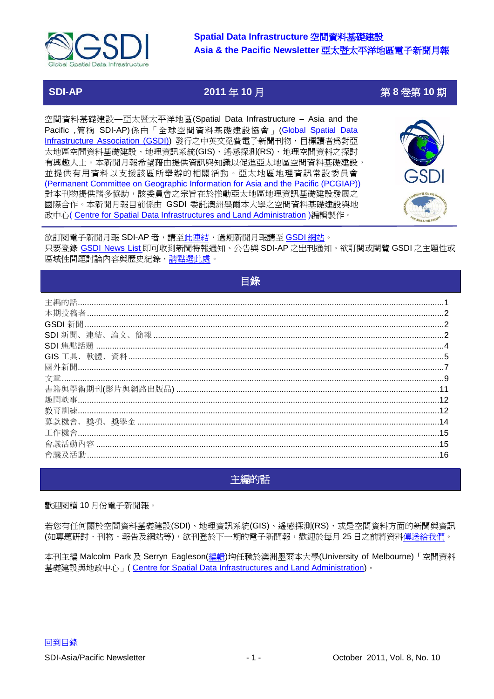

**SDI-AP 2011** 年 **10** 月第 **8** 卷第 **10** 期

空間資料基礎建設—亞太暨太平洋地區(Spatial Data Infrastructure – Asia and the Pacific,簡稱 SDI-AP)係由「全球空間資料基礎建設協會」(Global Spatial Data [Infrastructure Association \(GSDI\)\)](http://www.gsdi.org/) 發行之中英文免費電子新聞刊物, 目標讀者爲對亞 太地區空間資料基礎建設、地理資訊系統(GIS)、遙感探測(RS)、地理空間資料之探討 有興趣人士。本新聞月報希望藉由提供資訊與知識以促進亞太地區空間資料基礎建設, 並提供有用資料以支援該區所舉辦的相關活動。亞太地區地理資訊常設委員會 [\(Permanent Committee on Geographic Information for Asia and the Pacific \(PCGIAP\)](http://www.pcgiap.org/)) 對本刊物提供諸多協助,該委員會之宗旨在於推動亞太地區地理資訊基礎建設發展之 國際合作。本新聞月報目前係由 GSDI 委託澳洲墨爾本大學之空間資料基礎建設與地 政中心([Centre for Spatial Data Infrastructures and Land Administration](http://www.csdila.unimelb.edu.au/))編輯製作。



欲訂閱電子新聞月報 SDI-AP 者,請[至此連結,](http://www.gsdi.org/newslist/gsdisubscribe)過期新聞月報請至 [GSDI](http://www.gsdi.org/newsletters) 網站。 只要登錄 [GSDI News List](http://www.gsdi.org/newslist/gsdisubscribe.asp) 即可收到新聞特報通知、公告與 SDI-AP 之出刊通知。欲訂閱或閱覽 GSDI 之主題性或 區域性問題討論內容與歷史紀錄[,請點選此處。](http://www.gsdi.org/discussionlists)

目錄

<span id="page-0-0"></span>

| 12 |
|----|
|    |
|    |
|    |
| 15 |
|    |
|    |

# <span id="page-0-1"></span>主編的話

歡迎閱讀 10 月份電子新聞報。

若您有任何關於空間資料基礎建設(SDI)、地理資訊系統(GIS)、遙感探測(RS),或是空間資料方面的新聞與資訊 (如專題研討、刊物、報告及網站等),欲刊登於下一期的電子新聞報,歡迎於每月 25 日之前將資料<u>傳送給我們</u>。

本刊主編 Malcolm Park 及 Serryn Eagleson([編輯](mailto:Editor.SDIAP@gmail.com%20%3cEditor.SDIAP@gmail.com%3e))均任職於澳洲墨爾本大學(University of Melbourne)「空間資料 基礎建設與地政中心」( [Centre for Spatial Data Infrastructures and Land Administration\)](http://www.csdila.unimelb.edu.au/)。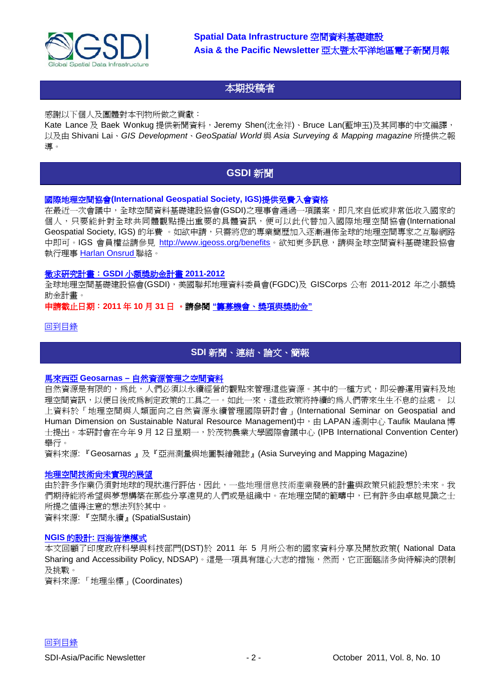

# <span id="page-1-0"></span>本期投稿者

感謝以下個人及團體對本刊物所做之貢獻:

Kate Lance 及 Baek Wonkug 提供新聞資料, Jeremy Shen(沈金祥)、Bruce Lan(藍坤玉)及其同事的中文編譯, 以及由 Shivani Lai、*GIS Development*、*GeoSpatial World* 與 *Asia Surveying & Mapping magazine* 所提供之報 導。

# <span id="page-1-1"></span>**[GSDI](#page-1-1)** 新聞

#### 國際地理空間協會**(International Geospatial Society, IGS)**提供免費入會資格

在最近一次會議中,全球空間資料基礎建設協會(GSDI)之理事會通過一項議案,即凡來自低或非常低收入國家的 個人,只要能針對全球共同體觀點提出重要的具體資訊,便可以此代替加入國際地理空間協會(International Geospatial Society, IGS) 的年費 。如欲申請,只需將您的專業簡歷加入逐漸遍佈全球的地理空間專家之互聯網路 中即可。IGS 會員權益請參見 [http://www.igeoss.org/benefits](https://owa.unimelb.edu.au/owa/redir.aspx?C=54c2b4d3973d480282dc7c38384f4204&URL=http%3a%2f%2fwww.igeoss.org%2fbenefits)。欲知更多訊息,請與全球空間資料基礎建設協會 執行理事 [Harlan Onsrud](mailto:onsrud@gsdi.org) 聯絡。

#### [徵求研究計畫:](http://www.gsdi.org/node/315)**GSDI** 小額獎助金計畫 **2011-2012**

全球地理空間基礎建設協會(GSDI),美國聯邦地理資料委員會(FGDC)及 GISCorps 公布 2011-2012 年之小額獎 助金計畫。

#### 申請截止日期:**2011** 年 **10** 月 **31** 日 。請參閱 **"**籌募機會、獎項與獎助金**"**

#### [回到目錄](#page-0-0)

# <span id="page-1-2"></span>**SDI** [新聞、連結、論文、簡報](#page-1-2)

#### 馬來西亞 **Geosarnas –** [自然資源管理之空間資料](http://www.asmmag.com/201109212227/malaysia-geosarnas-spatial-data-for-natural-resource-management.html)

自然資源是有限的,為此,人們必須以永續經營的觀點來管理這些資源。其中的一種方式,即妥善運用資料及地 理空間資訊,以便日後成爲制定政策的工具之一。如此一來,這些政策將持續的爲人們帶來生生不息的益處。 以 上資料於「地理空間與人類面向之自然資源永續管理國際研討會」(International Seminar on Geospatial and Human Dimension on Sustainable Natural Resource Management)中, 由 LAPAN 遙測中心 Taufik Maulana 博 士提出。本研討會在今年 9 月 12 日星期一,於茂物農業大學國際會議中心 (IPB International Convention Center) 舉行。

資料來源: 『Geosarnas 』及『亞洲測量與地圖製繪雜誌』(Asia Surveying and Mapping Magazine)

## [地理空間技術尚未實現的展望](http://www.vector1media.com/spatialsustain/what-are-some-wheres-my-jetpack-promises-related-to-geospatial-technology.html)

由於許多作業仍須對地球的現狀進行評估,因此,一些地理信息技術產業發展的計畫與政策只能設想於未來。我 們期待能將希望與夢想構築在那些分享遠見的人們或是組織中。在地理空間的範疇中,已有許多由卓越見識之士 所提之值得注意的想法列於其中。

資料來源: 『空間永續』(SpatialSustain)

#### **NGIS** 的設計**:** [四海皆準模式](http://mycoordinates.org/design-of-ngis-one-size-fits-all-type/)

本文回顧了印度政府科學與科技部門(DST)於 2011 年 5 月所公布的國家資料分享及開放政策( National Data Sharing and Accessibility Policy, NDSAP)。這是一項具有雄心大志的措施,然而,它正面臨諸多尙待解決的限制 及挑戰。

資料來源: 「地理坐標」(Coordinates)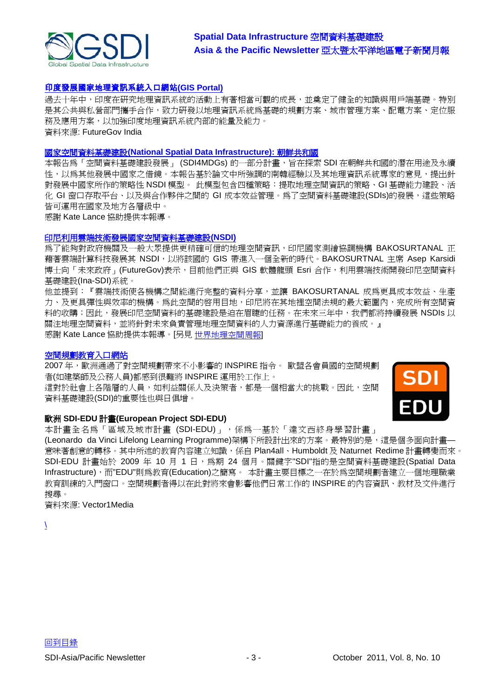

# [印度發展國家地理資訊系統入口網站](http://www.futuregov.in/articles/2011/sep/20/india-launch-national-gis-portal/)**(GIS Portal)**

過去十年中,印度在研究地理資訊系統的活動上有著相當可觀的成長,並奠定了健全的知識與用戶端基礎。特別 是其公共與私營部門攜手合作,致力研發以地理資訊系統為基礎的規劃方案、城市管理方案、配電方案、定位服 務及應用方案,以加強印度地理資訊系統內部的能量及能力。 資料來源: FutureGov India

#### 國家空間資料基礎建設**[\(National Spatial Data Infrastructure\):](http://www.infodev.org/en/Publication.1110.html)** 朝鮮共和國

本報告為「空間資料基礎建設發展」 (SDI4MDGs) 的一部分計書,旨在探索 SDI 在朝鮮共和國的潛在用涂及永續 性,以為其他發展中國家之借鏡。本報告基於論文中所強調的南韓經驗以及其地理資訊系統專家的意見,提出針 對發展中國家所作的策略性 NSDI 模型。 此模型包含四種策略:提取地理空間資訊的策略、GI 基礎能力建設、活 化 GI 窗口存取平台、以及與合作夥伴之間的 GI 成本效益管理。為了空間資料基礎建設(SDIs)的發展,這些策略 皆可運用在國家及地方各層級中。

感謝 Kate Lance 協助提供本報導。

#### [印尼利用雲端技術發展國家空間資料基礎建設](http://www.futuregov.asia/articles/2011/sep/15/indonesia-develops-nsdi-using-cloud/)**(NSDI)**

為了能夠對政府機關及一般大眾提供更精確可信的地理空間資訊,印尼國家測繪協調機構 BAKOSURTANAL 正 藉著雲端計算科技發展其 NSDI,以將該國的 GIS 帶進入一個全新的時代。BAKOSURTNAL 主席 Asep Karsidi 博士向「未來政府」(FutureGov)表示,目前他們正與 GIS 軟體龍頭 Esri 合作,利用雲端技術開發印尼空間資料 基礎建設(Ina-SDI)系統。

他並提到:『雲端技術使各機構之間能進行完整的資料分享,並讓 BAKOSURTANAL 成為更具成本效益、生產 力、及更具彈性與效率的機構。為此空間的啓用目地,印尼將在其地裡空間法規的最大範圍內,完成所有空間資 料的收購;因此,發展印尼空間資料的基礎建設是迫在眉睫的任務。在未來三年中,我們都將持續發展 NSDIs 以 關注地理空間資料,並將針對未來負責管理地理空間資料的人力資源進行基礎能力的養成。』 感謝 Kate Lance 協助提供本報導。[另見 [世界地理空間周報](http://geospatialworld.net/index.php?option=com_content&view=article&id=23076%3Aindonesia-develops-nsdi-using-cloud&catid=42%3Aproduct-gis&Itemid=1)]

#### [空間規劃教育入口網站](http://www.vector1media.com/article/features/22999-educational-portal-for-spatial-planning.html)

2007 年,歐洲通過了對空間規劃帶來不小影響的 INSPIRE 指令。 歐盟各會員國的空間規劃 者(如建築師及公務人員)都感到很難將 INSPIRE 運用於工作上。

這對於社會上各階層的人員,如利益關係人及決策者,都是一個相當大的挑戰。因此,空間 資料基礎建設(SDI)的重要性也與日俱增。



#### 歐洲 **SDI-EDU** 計畫**(European Project SDI-EDU)**

本計畫全名為「區域及城市計畫 (SDI-EDU)」,係為一基於「達文西終身學習計畫」 (Leonardo da Vinci Lifelong Learning Programme)架構下所設計出來的方案。最特別的是,這是個多面向計畫— 意味著創意的轉移。其中所述的教育內容建立知識,係自 Plan4all、Humboldt 及 Naturnet Redime 計畫轉變而來。 SDI-EDU 計畫始於 2009 年 10 月 1 日, 為期 24 個月。關鍵字"SDI"指的是空間資料基礎建設(Spatial Data Infrastructure),而"EDU"則爲教育(Education)之簡寫。 本計畫主要目標之一在於爲空間規劃者建立一個地理職業 教育訓練的入門窗口。空間規劃者得以在此對將來會影響他們日常工作的 INSPIRE 的內容資訊、教材及文件進行 搜尋。

資料來源: Vector1Media

 $\lambda$  $\lambda$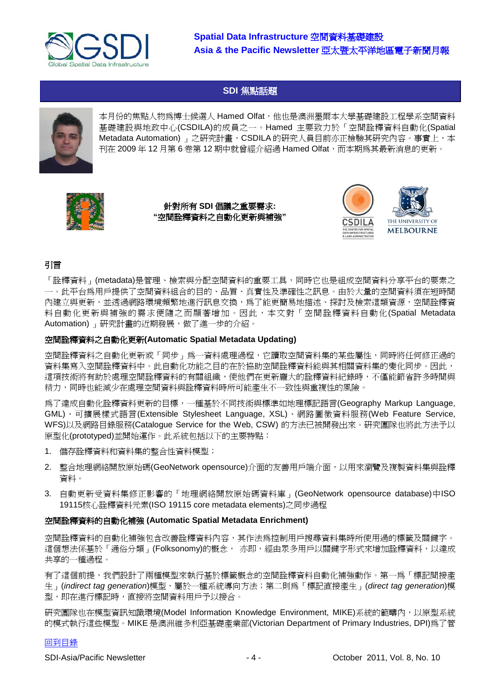

# <span id="page-3-0"></span>**SDI** [焦點話題](#page-3-0)



本月份的焦點人物爲博士候選人 Hamed Olfat, 他也是澳洲墨爾本大學基礎建設工程學系空間資料 基礎建設與地政中心(CSDILA)的成員之一。Hamed 主要致力於「空間詮釋資料自動化(Spatial Metadata Automation) 」之研究計畫, CSDILA 的研究人員目前亦正檢驗其研究內容。事實上, 本 刊在 2009 年 12 月第 6 卷第 12 期中就曾經介紹過 Hamed Olfat,而本期爲其最新消息的更新。



針對所有 **SDI** 倡議之重要需求**: "**空間詮釋資料之自動化更新與補強**"**



# 引言

「詮釋資料」(metadata)是管理、檢索與分配空間資料的重要工具,同時它也是組成空間資料分享平台的要素之 一。此平台為用戶提供了空間資料組合的目的、品質、真實性及準確性之訊息。由於大量的空間資料須在短時間 內建立與更新,並透過網路環境頻繁地進行訊息交換,為了能更簡易地描述、探討及檢索這類資源,空間詮釋資 料自動化更新與補強的需求便隨之而顯著增加。因此,本文對「空間詮釋資料自動化(Spatial Metadata Automation) 」研究計畫的近期發展,做了進一步的介紹。

#### 空間詮釋資料之自動化更新**(Automatic Spatial Metadata Updating)**

空間詮釋資料之自動化更新或「同步」為一資料處理過程,它讀取空間資料集的某些屬性,同時將任何修正過的 資料集寫入空間詮釋資料中。此自動化功能之目的在於協助空間詮釋資料能與其相關資料集的變化同步。因此, 這項技術將有助於處理空間詮釋資料的有關組織,使他們在更新龐大的詮釋資料紀錄時,不僅能節省許多時間與 精力,同時也能減少在處理空間資料與詮釋資料時所可能產生不一致性與重複性的風險。

為了達成自動化詮釋資料更新的目標,一種基於不同技術與標準如地理標記語言(Geography Markup Language, GML)、可擴展樣式語言(Extensible Stylesheet Language, XSL)、網路圖徵資料服務(Web Feature Service, WFS)以及網路目錄服務(Catalogue Service for the Web, CSW) 的方法已被開發出來。研究團隊也將此方法予以 原型化(prototyped)並開始運作。此系統包括以下的主要特點:

- 1. 儲存詮釋資料和資料集的整合性資料模型;
- 2. 整合地理網絡開放原始碼(GeoNetwork opensource)介面的友善用戶端介面,以用來瀏覽及複製資料集與詮釋 資料。
- 3. 自動更新受資料集修正影響的「地理網絡開放原始碼資料庫」(GeoNetwork opensource database)中ISO 19115核心詮釋資料元素(ISO 19115 core metadata elements)之同步過程

#### 空間詮釋資料的自動化補強 **(Automatic Spatial Metadata Enrichment)**

空間詮釋資料的自動化補強包含改善詮釋資料內容,其作法為控制用戶搜尋資料集時所使用過的標籤及關鍵字。 這個想法係基於「通俗分類」(Folksonomy)的概念, 亦即,經由眾多用戶以關鍵字形式來增加詮釋資料,以達成 共享的一種過程。

有了這個前提,我們設計了兩種模型來執行基於標籤概念的空間詮釋資料自動化補強動作。第一為「標記間接產 生」(*indirect tag generation*)模型,屬於一種系統導向方法;第二則為「標記直接產生」(*direct tag generation*)模 型,即在進行標記時,直接將空間資料用戶予以接合。

研究團隊也在模型資訊知識環境(Model Information Knowledge Environment, MIKE)系統的範疇內,以原型系統 的模式執行這些模型。MIKE 是澳洲維多利亞基礎產業部(Victorian Department of Primary Industries, DPI)為了管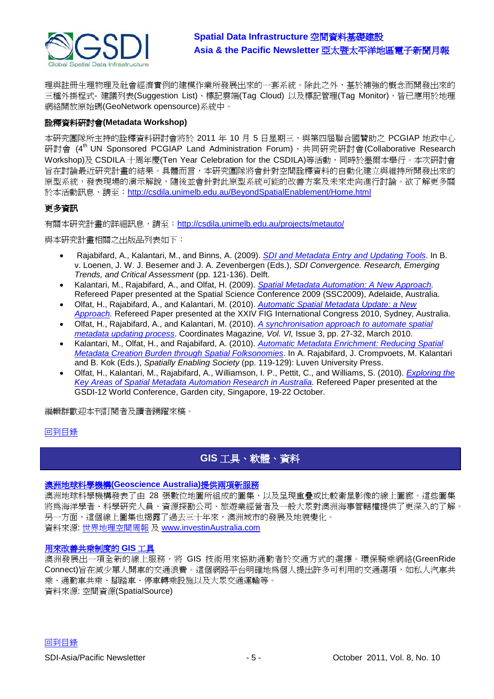

理與註冊生理物理及社會經濟實例的建模作業所發展出來的一套系統。除此之外,基於補強的概念而開發出來的 三種外掛程式- 建議列表(Suggestion List)、標記雲端(Tag Cloud) 以及標記管理(Tag Monitor),皆已應用於地理 網絡開放原始碼(GeoNetwork opensource)系統中。

## 詮釋資料研討會**(Metadata Workshop)**

本研究團隊所主持的詮釋資料研討會將於 2011 年 10 月 5 日星期三,與第四屆聯合國贊助之 PCGIAP 地政中心 研討會 (4<sup>th</sup> UN Sponsored PCGIAP Land Administration Forum)、共同研究研討會(Collaborative Research Workshop)及 CSDILA 十周年慶(Ten Year Celebration for the CSDILA)等活動,同時於墨爾本舉行。本次研討會 旨在討論最近研究計畫的結果。具體而言,本研究團隊將會針對空間詮釋資料的自動化建立與維持所開發出來的 原型系統,發表現場的演示解說,隨後並會針對此原型系統可能的改善方案及未來走向進行討論。欲了解更多關 於本活動訊息,請至: <http://csdila.unimelb.edu.au/BeyondSpatialEnablement/Home.html>

# 更多資訊

有關本研究計畫的詳細訊息,請至:<http://csdila.unimelb.edu.au/projects/metauto/>

與本研究計畫相關之出版品列表如下:

- Rajabifard, A., Kalantari, M., and Binns, A. (2009). *[SDI and Metadata Entry and Updating Tools](http://www.csdila.unimelb.edu.au/publication/conferences/GSDI-11/SDIandMetadataEntryandUpdatingtool.pdf)*. In B. v. Loenen, J. W. J. Besemer and J. A. Zevenbergen (Eds.), *SDI Convergence. Research, Emerging Trends, and Critical Assessment* (pp. 121-136). Delft.
- Kalantari, M., Rajabifard, A., and Olfat, H. (2009). *[Spatial Metadata Automation: A New Approach.](http://www.csdila.unimelb.edu.au/publication/conferences/Spatial_metadata_automation_A_new_Approach.pdf)* Refereed Paper presented at the Spatial Science Conference 2009 (SSC2009), Adelaide, Australia.
- Olfat, H., Rajabifard, A., and Kalantari, M. (2010). *[Automatic Spatial Metadata Update: a New](http://www.fig.net/pub/fig2010/papers/ts05b%5Cts05b_olfat_rajabifard_et_al_4079.pdf)  [Approach.](http://www.fig.net/pub/fig2010/papers/ts05b%5Cts05b_olfat_rajabifard_et_al_4079.pdf)* Refereed Paper presented at the XXIV FIG International Congress 2010, Sydney, Australia.
- Olfat, H., Rajabifard, A., and Kalantari, M. (2010). *[A synchronisation approach to automate spatial](http://mycoordinates.org/a-synchronisation-approach-to-automate-spatial-metadata-updating-process/)  [metadata updating process](http://mycoordinates.org/a-synchronisation-approach-to-automate-spatial-metadata-updating-process/)*. Coordinates Magazine*, Vol. VI,* Issue 3, pp. 27-32, March 2010.
- Kalantari, M., Olfat, H., and Rajabifard, A. (2010). *[Automatic Metadata Enrichment: Reducing Spatial](http://www.gsdi.org/gsdiconf/gsdi12/papers/23.pdf)  [Metadata Creation Burden through Spatial Folksonomies](http://www.gsdi.org/gsdiconf/gsdi12/papers/23.pdf)*. In A. Rajabifard, J. Crompvoets, M. Kalantari and B. Kok (Eds.), *Spatially Enabling Society* (pp. 119-129): Luven University Press.
- Olfat, H., Kalantari, M., Rajabifard, A., Williamson, I. P., Pettit, C., and Williams, S. (2010). *[Exploring the](http://www.gsdi.org/gsdiconf/gsdi12/papers/72.pdf)  [Key Areas of Spatial Metadata Automation Research in Australia.](http://www.gsdi.org/gsdiconf/gsdi12/papers/72.pdf)* Refereed Paper presented at the GSDI-12 World Conference, Garden city, Singapore, 19-22 October.

編輯群歡迎本刊訂閱者及讀者踴躍來稿。

#### [回到目錄](#page-0-0)

# <span id="page-4-0"></span>**GIS** [工具、軟體、資料](#page-4-0)

#### [澳洲地球科學機構](http://www.investinaustralia.com/news/geoscience-australia-releases-new-satellite-image-gallery-and-digital-maps-34b5)**(Geoscience Australia)**提供兩項新服務

澳洲地球科學機構發表了由 28 張數位地圖所組成的圖集,以及呈現重疊或比較衛星影像的線上圖廊。這些圖集 將為海洋學者、科學研究人員、資源探勘公司、旅遊業經營者及一般大眾對澳洲海事管轄權提供了更深入的了解。 另一方面,這個線上圖集也揭露了過去三十年來,澳洲城市的發展及地貌變化。 資料來源: [世界地理空間周報](http://世界地理空間周報/) 及 [www.investinAustralia.com](http://www.investinaustralia.com/)

#### [用來改善共乘制度的](http://www.spatialsource.com.au/2010/09/07/article/GIS-tool-to-improve-car-pooling/PPQFJCUTAP.html) **GIS** 工具

澳洲發展出一項全新的線上服務,將 GIS 技術用來協助通勤者於交通方式的選擇。環保騎乘網絡(GreenRide Connect)旨在減少單人開車的交通浪費。這個網路平台明確地為個人提出許多可利用的交通選項,如私人汽車共 乘、通勤車共乘、腳踏車、停車轉乘設施以及大眾交通運輸等。 資料來源: 空間資源(SpatialSource)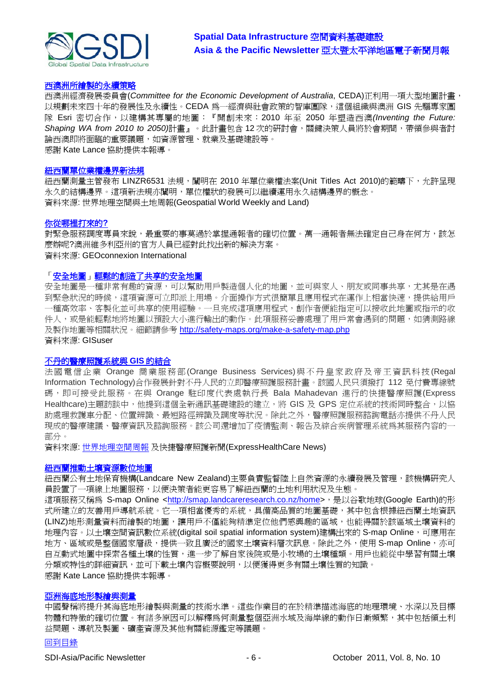

## [西澳洲所繪製的永續策略](http://www.futuregov.asia/articles/2011/sep/01/western-australia-uses-planning-mega-map-long-term/)

西澳洲經濟發展委員會(*Committee for the Economic Development of Australia*, CEDA)正利用一項大型地圖計畫, 以規劃未來四十年的發展性及永續性。CEDA 為一經濟與社會政策的智庫團隊,這個組織與澳洲 GIS 先驅專家團 隊 Esri 密切合作,以建構其專屬的地圖:『開創未來:2010 年至 2050 年塑造西澳*(Inventing the Future: Shaping WA from 2010 to 2050)*計畫』。此計畫包含 12 次的研討會,關鍵決策人員將於會期間,帶領參與者討 論西澳即將面臨的重要議題,如資源管理、就業及基礎建設等。 感謝 Kate Lance 協助提供本報導。

#### 紐西蘭單位業權邊界新法規

紐西蘭測量主管發布 LINZR6531 法規,闡明在 2010 年單位業權法案(Unit Titles Act 2010)的範疇下,允許呈現 永久的結構邊界。這項新法規亦闡明,單位權狀的發展可以繼續運用永久結構邊界的概念。 資料來源: 世界地理空間與土地周報(Geospatial World Weekly and Land)

#### [你從哪裡打來的](http://www.geoconnexion.com/uploads/WhereAreYouCaller_intv10i8.pdf)**?**

對緊急服務調度專員來說,最重要的事莫過於掌握通報者的確切位置。萬一通報者無法確定自己身在何方,該怎 麼辦呢?澳洲維多利亞州的官方人員已經對此找出新的解決方案。

# 資料來源: GEOconnexion International

#### [「安全地圖」輕鬆的創造了共享的安全地圖](http://www.gisuser.com/content/view/24500/222/)

安全地圖是一種非常有趣的資源,可以幫助用戶製造個人化的地圖,並可與家人、朋友或同事共享,尤其是在遇 到緊急狀況的時候,這項資源可立即派上用場。介面操作方式很簡單且應用程式在運作上相當快速,提供給用戶 一種高效率、客製化並可共享的使用經驗。一旦完成這項應用程式,創作者便能指定可以接收此地圖或指示的收 件人,或是能輕鬆地將地圖以預設大小進行輸出的動作。此項服務妥善處理了用戶常會遇到的問題,如猜測路線 及製作地圖等相關狀況。細節請參考 <http://safety-maps.org/make-a-safety-map.php> 資料來源: GISuser

#### [不丹的醫療照護系統與](http://www.expresshealthcare.in/201109/itathealthcare02.shtml) **GIS** 的結合

法國電信企業 Orange 商業服務部(Orange Business Services)與不丹 皇家政府及 帝王 資訊科 技(Regal Information Technology)合作發展針對不丹人民的立即醫療照護服務計畫。該國人民只須撥打 112 免付費專線號 碼,即可接受此服務。在與 Orange 駐印度代表處執行長 Bala Mahadevan 進行的快捷醫療照護(Express Healthcare)主題訪談中,他提到這個全新通訊基礎建設的建立,將 GIS 及 GPS 定位系統的技術同時整合,以協 助處理救護車分配、位置辨識、最短路徑辨識及調度等狀況。除此之外,醫療照護服務諮詢電話亦提供不丹人民 現成的醫療建議、醫療資訊及諮詢服務。該公司還增加了疫情監測、報告及綜合疾病管理系統為其服務內容的一 部分。

資料來源: [世界地理空間周報](http://geospatialworld.net/index.php?option=com_content&view=article&id=23074%3Abhutan-embraces-gis-in-healthcare&catid=56%3Aapplication-health&Itemid=1) 及快捷醫療照護新聞(ExpressHealthCare News)

#### [紐西蘭推動土壤資源數位地圖](http://www.futuregov.asia/articles/2011/sep/13/nz-launches-digital-soil-map/)

紐西蘭公有土地保育機構(Landcare New Zealand)主要負責監督陸上自然資源的永續發展及管理,該機構研究人 員設置了一項線上地圖服務,以便決策者能更容易了解紐西蘭的土地利用狀況及生態。

這項服務又稱為 S-map Online [<http://smap.landcareresearch.co.nz/home>](http://smap.landcareresearch.co.nz/home),是以谷歌地球(Google Earth)的形 式所建立的友善用戶導航系統。它一項相當優秀的系統,具備高品質的地圖基礎,其中包含根據紐西蘭土地資訊 (LINZ)地形測量資料而繪製的地圖,讓用戶不僅能夠精準定位他們感興趣的區域,也能得關於該區域土壤資料的 地理內容。以土壤空間資訊數位系統(digital soil spatial information system)建構出來的 S-map Online,可應用在 地方、區域或是整個國家層級,提供一致且廣泛的國家土壤資料層次訊息。除此之外,使用 S-map Online,亦可 自互動式地圖中探索各種土壤的性質,進一步了解自家後院或是小牧場的土壤種類。用戶也能從中學習有關土壤 分類或特性的詳細資訊,並可下載土壤內容概要說明,以便獲得更多有關土壤性質的知識。 感謝 Kate Lance 協助提供本報導。

#### [亞洲海底地形製繪與測量](http://www.asmmag.com/201109152193/seabed-mapping-and-surveying-in-asia.html)

中國聲稱將提升其海底地形繪製與測量的技術水準。這些作業目的在於精準描述海底的地理環境、水深以及目標 物體和特徵的確切位置。有諸多原因可以解釋為何測量整個亞洲水域及海岸線的動作日漸頻繁,其中包括領土利 益問題、導航及製圖、礦產資源及其他有關能源鑑定等議題。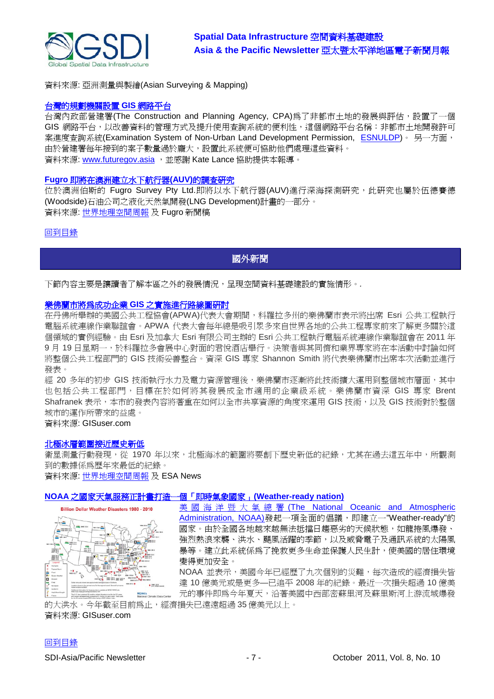

資料來源: 亞洲測量與製繪(Asian Surveying & Mapping)

#### [台灣的規劃機關設置](http://www.futuregov.asia/articles/2011/sep/07/taiwan-agency-launches-web-gis-platform-improved-d/) **GIS** 網路平台

台灣內政部營建署(The Construction and Planning Agency, CPA)為了非都市土地的發展與評估,設置了一個 GIS 網路平台,以改善資料的管理方式及提升使用查詢系統的便利性,這個網路平台名稱:非都市土地開發許可 案進度查詢系統(Examination System of Non-Urban Land Development Permission, [ESNULDP\)](http://gisapsrv02.cpami.gov.tw/ncpublic/)。 另一方面, 由於營建署每年接到的案子數量過於龐大,設置此系統便可協助他們處理這些資料。 資料來源: [www.futuregov.asia](http://www.futuregov.asia/) , 並感謝 Kate Lance 協助提供本報導。

#### **Fugro** [即將在澳洲建立水下航行器](http://www.fugro.com/news/newsdetails.asp?item=554)**(AUV)**的調查研究

位於澳洲伯斯的 Fugro Survey Pty Ltd.即將以水下航行器(AUV)進行深海探測研究,此研究也屬於伍德賽德 (Woodside)石油公司之液化天然氣開發(LNG Development)計畫的一部分。 資料來源: [世界地理空間周報](http://geospatialworld.net/index.php?option=com_content&view=article&id=23112%3Afugro-to-conduct-auv-survey-in-australia&catid=47%3Aproduct-surveying-mapping&Itemid=1) 及 Fugro 新聞稿

#### [回到目錄](#page-0-0)

# <span id="page-6-0"></span>國外新聞

下節內容主要是讓讀者了解本區之外的發展情況,呈現空間資料基礎建設的實施情形。*.*

#### [樂佛蘭市將為成功企業](http://www.gisuser.com/content/view/24369/2/) **GIS** 之實施進行路線圖研討

在丹佛所舉辦的美國公共工程協會(APWA)代表大會期間,科羅拉多州的樂佛蘭市表示將出席 Esri 公共工程執行 電腦系統連線作業聯誼會。APWA 代表大會每年總是吸引眾多來自世界各地的公共工程專家前來了解更多關於這 個領域的實例經驗。由 Esri 及加拿大 Esri 有限公司主辦的 Esri 公共工程執行電腦系統連線作業聯誼會在 2011 年 9月 19 日星期一,於科羅拉多會展中心對面的君悅酒店舉行。決策者與其同儕和業界專家將在本活動中討論如何 將整個公共工程部門的 GIS 技術妥善整合。資深 GIS 專家 Shannon Smith 將代表樂佛蘭市出席本次活動並進行 發表。

經 20 多年的初步 GIS 技術執行水力及電力資源管理後,樂佛蘭市逐漸將此技術擴大運用到整個城市層面,其中 也包括公共工程部門,目標在於如何將其發展成全市適用的企業級系統。樂佛蘭市資深 GIS 專家 Brent Shafranek 表示,本市的發表內容將著重在如何以全市共享資源的角度來運用 GIS 技術,以及 GIS 技術對於整個 城市的運作所帶來的益處。

資料來源: GISuser.com

#### [北極冰層範圍接近歷史新低](http://www.esa.int/esaCP/SEMPQF0UDSG_index_0.html)

衛星測量行動發現,從 1970 年以來,北極海冰的範圍將要創下歷史新低的紀錄,尤其在過去這五年中,所觀測 到的數據係為歷年來最低的紀錄。

資料來源: [世界地理空間周報](http://geospatialworld.net/index.php?option=com_content&view=article&id=23102%3Aarctic-ice-nearing-record-low&catid=59%3Aapplication-geology&Itemid=1) 及 ESA News

#### **NOAA** [之國家天氣服務正計畫打造一個「即時氣象國家」](http://www.gisuser.com/content/view/24387/2/)**(Weather-ready nation)**



美國海洋暨大氣總署 (The National Oceanic and Atmospheric [Administration, NOAA\)](http://www.noaa.gov/)發起一項全面的倡議, 即建立一"Weather-ready"的 國家。由於全國各地越來越無法抵擋日趨惡劣的天候狀態,如龍捲風爆發、 強烈熱浪來襲、洪水、颶風活躍的季節,以及威脅電子及通訊系統的太陽風 暴等。建立此系統係為了挽救更多生命並保護人民生計,使美國的居住環境 變得更加安全。

NOAA 並表示,美國今年已經歷了九次個別的災難,每次造成的經濟損失皆 達 10 億美元或是更多—已追平 2008 年的紀錄。最近一次損失超過 10 億美 元的事件即為今年夏天,沿著美國中西部密蘇里河及蘇里斯河上游流域爆發

的大洪水。今年截至目前爲止,經濟損失已遠遠超過 35 億美元以上。 資料來源: GISuser.com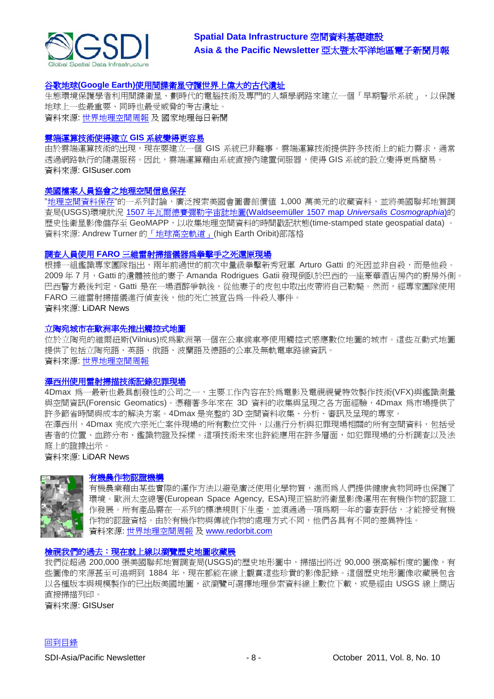

#### 谷歌地球**(Google Earth)**[使用間諜衛星守護世界上偉大的古代遺址](http://newswatch.nationalgeographic.com/2011/09/09/spy-satellites-google-earth-now-guarding-world%e2%80%99s-great-ancient-sites/)

生態環境保護學者利用間諜衛星、劃時代的電腦技術及專門的人類學網路來建立一個「早期警示系統」,以保護 地球上一些最重要、同時也最受威脅的考古遺址。 資料來源: [世界地理空間周報](http://www.geospatialworld.net/newsletter/weekly_newsletter/sep1911.htm) 及 國家地理每日新聞

#### [雲端運算技術使得建立](http://www.gisuser.com/content/view/24441/2/) **GIS** 系統變得更容易

由於雲端運算技術的出現,現在要建立一個 GIS 系統已非難事。雲端運算技術提供許多技術上的能力需求,通常 透過網路執行的隨選服務。因此,雲端運算藉由系統直接內建置伺服器,使得 GIS 系統的設立變得更為簡易。 資料來源: GISuser.com

#### [美國檔案人員協會之地理空間信息保存](http://highearthorbit.com/geospatial-preservation-at-society-of-american-archivists/)

"[地理空間資料保存](http://saa.archivists.org/Scripts/4Disapi.dll/4DCGI/events/eventdetail.html?Action=Events_Detail&Time=-784681258&InvID_W=1860)"的一系列討論,廣泛搜索美國會圖書館價値 1,000 萬美元的收藏資料,並將美國聯邦地質調 查局(USGS)環境狀況 1507 年瓦爾德賽彌勒宇宙誌地圖[\(Waldseemüller 1507 map](http://en.wikipedia.org/wiki/Waldseem%C3%BCller_map) *Universalis Cosmographia*)的 歷史性衛星影像儲存至 GeoMAPP,以收集地理空間資料的時間戳記狀態(time-stamped state geospatial data) 。 資料來源: Andrew Turner [的「地球高空軌道」](http://highearthorbit.com/)(high Earth Oribit)部落格

#### 調查人員使用 **FARO** [三維雷射掃描儀器為拳擊手之死還原現場](http://www.lidarnews.com/content/view/8567/)

根據一組鑑識專家團隊指出,兩年前過世的前次中量級拳擊新秀冠軍 Arturo Gatti 的死因並非自殺,而是他殺。 2009 年 7 月, Gatti 的遺體被他的妻子 Amanda Rodrigues Gatii 發現倒臥於巴西的一座豪華酒店房內的廚房外側。 巴西警方最後判定,Gatti 是在一場酒醉爭執後,從他妻子的皮包中取出皮帶將自己勒斃。然而,經專家團隊使用 FARO 三維雷射掃描儀進行偵查後,他的死亡被宣告為一件殺人事件。 資料來源: LiDAR News

#### 立陶宛城市在歐洲率先推出觸控式地圖

位於立陶宛的維爾紐斯(Vilnius)成為歐洲第一個在公車候車亭使用觸控式感應數位地圖的城市。這些互動式地圖 提供了包括立陶宛語、英語、俄語、波蘭語及德語的公車及無軌電車路線資訊。 資料來源: [世界地理空間周報](http://geospatialworld.net/index.php?option=com_content&view=article&id=23043%3Alithuania-city-first-in-europe-to-launch-touch-map&catid=48%3Aproduct-cartography-map-publishing&Itemid=1)

#### [澤西州使用雷射掃描技術記錄犯罪現場](http://www.lidarnews.com/content/view/8542/)

4Dmax 為一最新也最具創發性的公司之一,主要工作內容在於為電影及電視視覺特效製作技術(VFX)與鑑識測量 與空間資訊(Forensic Geomatics)。憑藉著多年來在 3D 資料的收集與呈現之各方面經驗,4Dmax 為市場提供了 許多節省時間與成本的解決方案。4Dmax 是完整的 3D 空間資料收集、分析、審訊及呈現的專家。 在澤西州,4Dmax 完成六宗死亡案件現場的所有數位文件,以進行分析與犯罪現場相關的所有空間資料,包括受 害者的位置、血跡分布、鑑識物證及採樣。這項技術未來也許能應用在許多層面,如犯罪現場的分析調查以及法 庭上的證據出示。

資料來源: LiDAR News



#### [有機農作物認證機構](http://www.redorbit.com/news/space/1112385075/certifying-organic-crops-from-space)

有機農業藉由某些實際的運作方法以避免廣泛使用化學物質,進而為人們提供健康食物同時也保護了 環境。歐洲太空總署(European Space Agency, ESA)現正協助將衛星影像運用在有機作物的認證工 作發展。所有產品需在一系列的標準規則下生產,並須通過一項爲期一年的審查評估,才能接受有機 作物的認證資格。由於有機作物與傳統作物的處理方式不同,他們各具有不同的差異特性。 資料來源: [世界地理空間周報](http://世界地理空間周報/) 及 [www.redorbit.com](http://www.redorbit.com/)

#### [檢視我們的過去:現在就上線以瀏覽歷史地圖收藏展](http://www.gisuser.com/content/view/24445/2/)

我們從超過 200,000 張美國聯邦地質調查局(USGS)的歷史地形圖中,掃描出將近 90,000 張高解析度的圖像,有 些圖像的來源甚至可追朔到 1884 年,現在都能在線上觀賞這些珍貴的影像記錄。這個歷史地形圖像收藏展包含 以各種版本與規模製作的已出版美國地圖,欲瀏覽可選擇地理參索資料線上數位下載,或是經由 USGS 線上商店 直接掃描列印。

資料來源: GISUser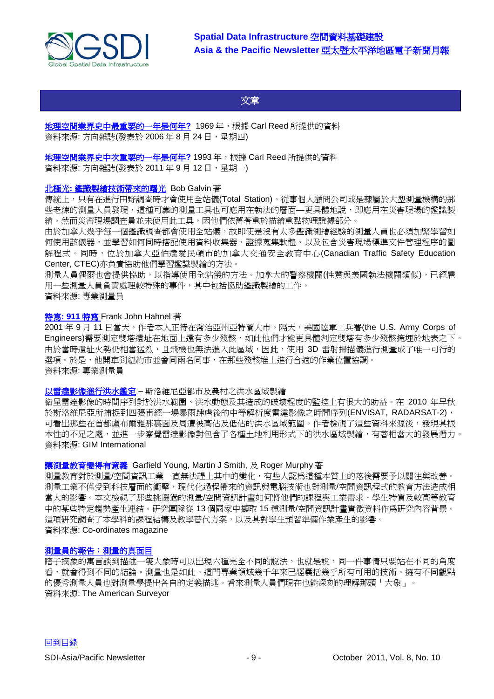

<span id="page-8-0"></span>文章

[地理空間業界史中最重要的一年是何年](http://www.directionsmag.com/articles/what-was-the-most-important-year-in-the-history-of-the-geospatial-industry/123059)**?** 1969 年,根據 Carl Reed 所提供的資料 資料來源: 方向雜誌(發表於 2006年8月24日, 星期四)

[地理空間業界史中次重要的一年是何年](http://www.directionsmag.com/articles/what-was-the-most-important-year-in-the-history-of-the-geospatial-industry/123059)**?** 1993 年,根據 Carl Reed 所提供的資料

資料來源: 方向雜誌(發表於 2011年9月12日, 星期一)

#### 北極光**:** [鑑識製繪技術帶來的曙光](http://www.profsurv.com/magazine/article.aspx?i=70993) Bob Galvin 著

傳統上,只有在進行田野調查時才會使用全站儀(Total Station)。從事個人顧問公司或是隸屬於大型測量機構的那 些老練的測量人員發現,這種可靠的測量工具也可應用在執法的層面—更具體地說,即應用在災害現場的鑑識製 繪。然而災害現場調查員並未使用此工具,因他們依舊著重於描繪重點物理證據部分。

由於加拿大幾乎每一個鑑識調查都會使用全站儀,故即使是沒有太多鑑識測繪經驗的測量人員也必須加緊學習如 何使用該儀器,並學習如何同時搭配使用資料收集器、證據蒐集軟體、以及包含災害現場標準文件管理程序的圖 解程式。同時,位於加拿大亞伯達愛民頓市的加拿大交通安全教育中心(Canadian Traffic Safety Education Center, CTEC)亦負責協助他們學習鑑識製繪的方法。

測量人員偶爾也會提供協助,以指導使用全站儀的方法。加拿大的警察機關(性質與美國執法機關類似),已經雇 用一些測量人員負責處理較特殊的事件,其中包括協助鑑識製繪的工作。

資料來源: 專業測量員

#### 特寫**[: 911](http://www.profsurv.com/magazine/article.aspx?i=70986)** 特寫 Frank John Hahnel 著

2001 年 9 月 11 日當天,作者本人正待在喬治亞州亞特蘭大市。隔天,美國陸軍工兵署(the U.S. Army Corps of Engineers)需要測定雙塔遺址在地面上還有多少殘骸,如此他們才能更具體判定雙塔有多少殘骸掩埋於地表之下。 由於當時遺址火勢仍相當猛烈,且飛機也無法進入此區域,因此,使用 3D 雷射掃描儀進行測量成了唯一可行的 選項。於是,他開車到紐約市並會同兩名同事,在那些殘骸堆上進行合適的作業位置協調。 資料來源: 專業測量員

#### [以雷達影像進行洪水鑑定](http://www.gim-international.com/issues/articles/id1769-Flood_Identification_from_Radar_Imagery.html) – 斯洛維尼亞都市及農村之洪水區域製繪

衛星雷達影像的時間序列對於洪水範圍、洪水動態及其造成的破壞程度的監控上有很大的助益。在 2010 年早秋 於斯洛維尼亞所捕捉到四張甫經一場暴雨肆虐後的中等解析度雷達影像之時間序列(ENVISAT, RADARSAT-2), 可看出那些在首都盧布爾雅那裏面及周遭被高估及低估的洪水區域範圍。作者檢視了這些資料來源後,發現其根 本性的不足之處,並進一步察覺雷達影像對包含了各種土地利用形式下的洪水區域製繪,有著相當大的發展潛力。 資料來源: GIM International

#### [讓測量教育變得有意義](http://mycoordinates.org/making-surveying-education-relevant/) Garfield Young, Martin J Smith, 及 Roger Murphy 著

測量教育對於測量/空間資訊工業一直無法趕上其中的變化,有些人認為這種本質上的落後需要予以關注與改善。 測量工業不僅受到科技層面的衝擊,現代化過程帶來的資訊與電腦技術也對測量/空間資訊程式的教育方法造成相 當大的影響。本文檢視了那些挑選過的測量/空間資訊計畫如何將他們的課程與工業需求、學生特質及較高等教育 中的某些特定趨勢產生連結。研究團隊從 13 個國家中擷取 15 種測量/空間資訊計畫實徵資料作為研究內容背景。 這項研究調查了本學科的課程結構及教學替代方案,以及其對學生預習準備作業產生的影響。 資料來源: Co-ordinates magazine

#### [測量員的報告:測量的真面目](http://www.amerisurv.com/content/view/9013/153/)

瞎子摸象的寓言談到描述一隻大象時可以出現六種完全不同的說法,也就是說,同一件事情只要站在不同的角度 看,就會得到不同的結論。測量也是如此。這門專業領域幾千年來已經囊括幾乎所有可用的技術。擁有不同觀點 的優秀測量人員也對測量學提出各自的定義描述。看來測量人員們現在也能深刻的理解那頭「大象」。 資料來源: The American Surveyor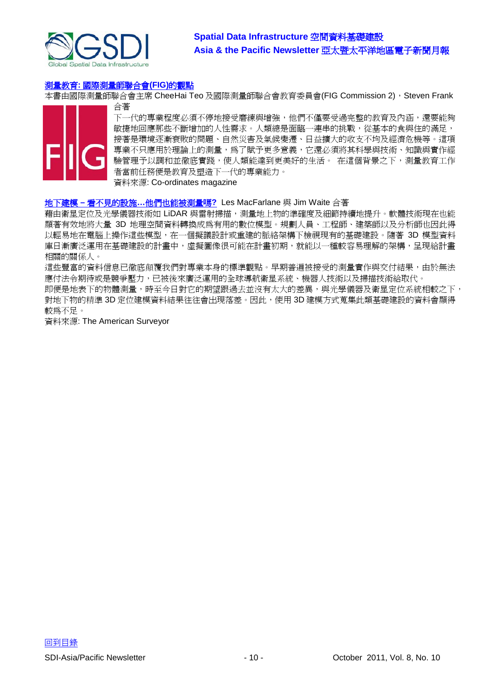

#### 測量教育**:** [國際測量師聯合會](http://mycoordinates.org/surveying-education-a-view-from-fig/)**(FIG)**的觀點

本書由國際測量師聯合會主席 CheeHai Teo 及國際測量師聯合會教育委員會(FIG Commission 2), Steven Frank 合著



下一代的專業程度必須不停地接受磨練與增強,他們不僅要受過完整的教育及內涵,還要能夠 敏捷地回應那些不斷增加的人性需求。人類總是面臨一連串的挑戰,從基本的食與住的滿足, 接著是環境逐漸衰敗的問題、自然災害及氣候變遷、日益擴大的收支不均及經濟危機等。這項 專業不只應用於理論上的測量,為了賦予更多意義,它還必須將其科學與技術、知識與實作經 驗管理予以調和並徹底實踐,使人類能達到更美好的生活。 在這個背景之下,測量教育工作 者當前任務便是教育及塑造下一代的專業能力。 資料來源: Co-ordinates magazine

#### 地下建模 **–** 看不見的設施**…**[他們也能被測量嗎](http://www.amerisurv.com/content/view/8871/153/)**?** Les MacFarlane 與 Jim Waite 合著

藉由衛星定位及光學儀器技術如 LiDAR 與雷射掃描,測量地上物的準確度及細節持續地提升。軟體技術現在也能 顯著有效地將大量 3D 地理空間資料轉換成為有用的數位模型。規劃人員、工程師、建築師以及分析師也因此得 以輕易地在電腦上操作這些模型,在一個擬議設計或重建的脈絡架構下檢視現有的基礎建設。隨著 3D 模型資料 庫日漸廣泛運用在基礎建設的計畫中,虛擬圖像很可能在計畫初期,就能以一種較容易理解的架構,呈現給計畫 相關的關係人。

這些豐富的資料信息已徹底顛覆我們對專業本身的標準觀點。早期普遍被接受的測量實作與交付結果,由於無法 應付法令期待或是競爭壓力,已被後來廣泛運用的全球導航衛星系統、機器人技術以及掃描技術給取代。

即便是地表下的物體測量,時至今日對它的期望跟過去並沒有太大的差異,與光學儀器及衛星定位系統相較之下, 對地下物的精準 3D 定位建模資料結果往往會出現落差。因此,使用 3D 建模方式蒐集此類基礎建設的資料會顯得 較為不足。

資料來源: The American Surveyor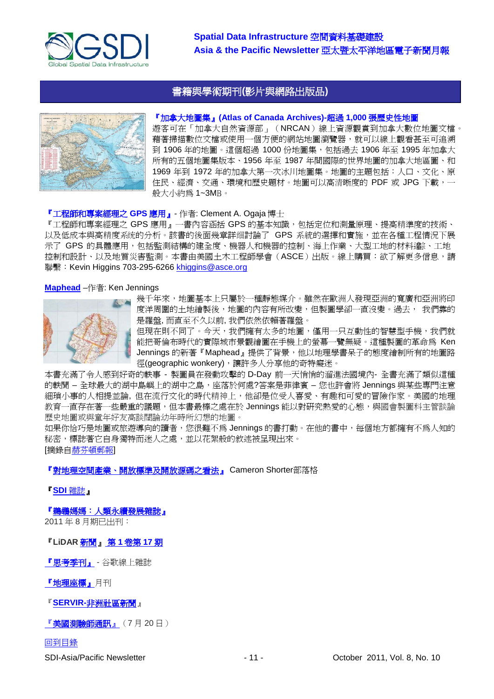



# 『加拿大地圖集』**(Atlas of Canada Archives)-**超過 **1,000** 張歷史性地圖

<span id="page-10-0"></span>書籍與學術期刊**(**影片與網路出版品**)**

遊客可在「加拿大自然資源部」(NRCAN)線上資源觀賞到加拿大數位地圖文檔。 藉著掃描數位文檔或使用一個方便的網站地圖瀏覽器,就可以線上觀看甚至可追溯 到 1906年的地圖。這個超過 1000份地圖集,包括過去 1906年至 1995年加拿大 所有的五個地圖集版本、1956 年至 1987 年間國際的世界地圖的加拿大地區圖、和 1969 年到 1972 年的加拿大第一次冰川地圖集。地圖的主題包括:人口、文化、原 住民、經濟、交通、環境和歷史題材。地圖可以高清晰度的 PDF 或 JPG 下載,一 般大小約為 1~3MB。

#### 『工程師和專案經理之 **GPS** 應用』- 作者: Clement A. Ogaja 博士

『工程師和專案經理之 GPS 應用』一書內容涵括 GPS 的基本知識,包括定位和測量原理、提高精準度的技術、 以及低成本與高精度系统的分析。該書的後面幾章詳细討論了 GPS 系統的選擇和實施,並在各種工程情況下展 示了 GPS 的具體應用,包括監測結構的建全度、機器人和機器的控制、海上作業、大型工地的材料追踪、工地 控制和設計、以及地質災害監測。本書由美國土木工程師學會(ASCE)出版。線上購買:欲了解更多信息,請 聯繫: Kevin Higgins 703-295-6266 [khiggins@asce.org](mailto:khiggins@asce.org)

#### **[Maphead](http://www.amazon.com/Maphead-Charting-Weird-World-Geography/dp/1439167176)** –作者: Ken Jennings



幾千年來,地圖基本上只屬於一種靜態媒介。雖然在歐洲人發現亞洲的寬廣和亞洲將印 度洋周圍的土地繪製後,地圖的內容有所改變,但製圖學卻一直沒變。過去, 我們靠的 是羅盤, 而直至不久以前, 我們依然依賴著羅盤。

但現在則不同了。今天,我們擁有太多的地圖,僅用一只互動性的智慧型手機,我們就 能把哥倫布時代的實際城市景觀繪圖在手機上的螢幕一覽無疑。這種製圖的革命為 Ken Jennings 的新著『Maphead』提供了背景,他以地理學書呆子的態度繪制所有的地圖路 徑(geographic wonkery),讓許多人分享他的奇特癡迷。

本書充滿了令人感到好奇的軼事 - 製圖員在發動攻擊的 D-Day 前一天悄悄的溜進法國境內- 全書充滿了類似這種 的軼聞 – 全球最大的湖中島嶼上的湖中之島,座落於何處?答案是菲律賓 – 您也許會將 Jennings 與某些專門注意 細瑣小事的人相提並論, 但在流行文化的時代精神上, 他卻是位受人喜愛、有趣和可愛的冒險作家。美國的地理 教育一直存在著一些嚴重的議題,但本書最棒之處在於 Jennings 能以對研究熱愛的心態,與國會製圖科主管談論 歷史地圖或與童年好友高談闊論幼年時所幻想的地圖。

如果你恰巧是地圖或旅遊導向的讀者,您很難不爲 Jennings 的書打動。在他的書中,每個地方都擁有不爲人知的 秘密,標誌著它自身獨特而迷人之處,並以花絮般的敘述被呈現出來。 [摘錄[自赫芬頓郵報](http://www.huffingtonpost.com/2011/09/21/ken-jennings-discusses-ma_n_973395.html)]

#### [『對地理空間產業、開放標準及開放源碼之看法』](http://cameronshorter.blogspot.com/2011/06/memoirs-of-cat-herder-coordinating.html) Cameron Shorter部落格

#### 『**SDI** [雜誌』](http://www.sdimag.com/)

[『鵜鶘媽媽:人類永續發展雜誌』](http://www.pelicanweb.org/solisustv07n08page1.html)

2011 年 8 月期已出刊:

『**[LiDAR](http://www.lidarnews.com/newsletter/Vol1No17.htm)** 新聞』 第 **1** 卷第 **17** 期

[『思考季刊』](http://www.thinkwithgoogle.co.uk/quarterly/people/#aboutthebook) - 谷歌線上雜誌

[『地理座標』月](http://mycoordinates.org/pdf/june11.pdf)刊

『**SERVIR-**[非洲社區新聞』](http://www.servirglobal.net/africa/en/News/CommunityNews.aspx)

[『美國測驗師通訊』\(](http://www.amerisurv.com/newsletter/20JUL2011.htm)7 月 20 日)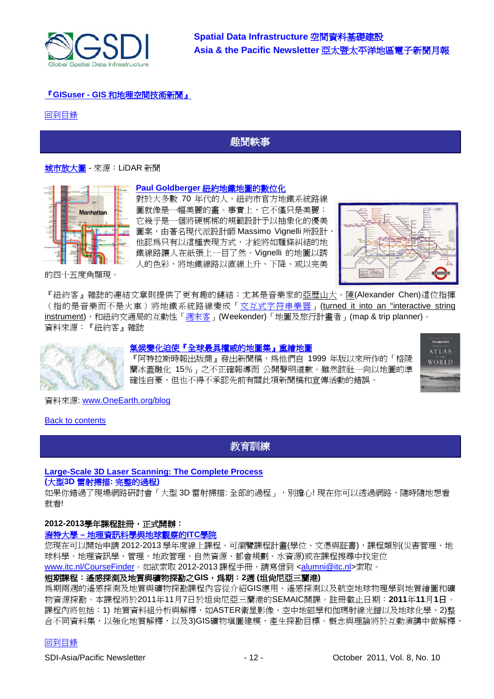

# 『**GISuser - GIS** [和地理空間技術新聞』](http://www.gisuser.com/)

#### [回到目錄](#page-0-0)

# <span id="page-11-0"></span>趣聞軼事

## [城市放大圖](http://www.lidarnews.com/content/view/8574/192/) - 來源:LiDAR 新聞



#### **Paul Goldberger** [紐約地鐵地圖的數位化](http://www.newyorker.com/online/blogs/newsdesk/2011/09/vignelli-subway-map-mta.html)

對於大多數 70 年代的人,紐約市官方地鐵系統路線 圖就像是一幅美麗的畫。事實上,它不僅只是美麗: 它幾乎是一個將硬梆梆的規範設計予以抽象化的優美 圖案,由著名現代派設計師 Massimo Vignelli 所設計, 他認為只有以這種表現方式,才能將如麵條糾結的地 鐵線路讓人在紙張上一目了然。Vignelli 的地圖以誘 人的色彩,將地鐵線路以直線上升、下降、或以完美



的四十五度角顯現。

『紐約客』雜誌的連結文章則提供了更有趣的鏈結;尤其是音樂家的亞歷山大·陳(Alexander Chen)這位指揮 (指的是音樂而不是火車)將地鐵系統路線變成[「交互式字符串樂器」](http://vimeo.com/19372180)(turned it into an "interactive string [instrument\)](http://vimeo.com/19372180),和紐約交通局的互動性[「週末客」](http://www.mta.info/weekender.html)(Weekender)「地圖及旅行計畫者」(map & trip planner)。 資料來源:『紐約客』雜誌



#### [氣候變化迫使『全球最具權威的地圖集』重繪地圖](http://www.onearth.org/blog/times-atlas-maps-climate-change)

『阿特拉斯時報出版商』發出新聞稿,為他們自 1999 年版以來所作的「格陵 蘭冰蓋融化 15%」之不正確報導而 公開聲明道歉。雖然該社一向以地圖的準 確性自豪,但也不得不承認先前有關此項新聞稿和宣傳活動的錯誤。



資料來源: [www.OneEarth.org/blog](http://www.oneearth.org/blog)

#### **[Back to contents](#page-0-0)**

<span id="page-11-1"></span>教育訓練

#### **[Large-Scale 3D Laser Scanning: The Complete Process](http://www.faro.com/site/resources/details/1373?CampaignId=70170000000bbwr)**

#### **(**大型**3D** 雷射掃描**:** 完整的過程**)**

如果你錯過了現場網路研討會「大型 3D 雷射掃描: 全部的過程」,別擔心! 現在你可以透過網路,隨時隨地想看 就看!

#### **2012-2013**學年課程註冊,正式開辦:

#### 湍特大學 **–** 地理資訊科學與地球觀察的**ITC**學院

您現在可以開始申請 2012-2013 學年度線上課程。可瀏覽課程計畫(學位、文憑與証書),課程類別(災害管理、地 球科學、地理資訊學、管理、地政管理、自然資源、都會規劃、水資源)或在課程搜尋中找定位 [www.itc.nl/CourseFinder](http://www.itc.nl/CourseFinder)。如欲索取 2012-2013 課程手冊,請寫信到 [<alumni@itc.nl>](mailto:alumni@itc.nl)索取。

#### 短期課程:遙感探測及地質與礦物探勘之**GIS**,為期:**2**週 **(**坦尚尼亞三蘭港**)**

為期兩週的遙感探測及地質與礦物探勘課程內容從介紹GIS應用、遙感探測以及航空地球物理學到地質繪圖和礦 物資源探勘。本課程將於2011年11月7日於坦尚尼亞三蘭港的SEMAIC開課。註冊截止日期:**2011**年**11**月**1**日。 課程內將包括:1) 地質資料組分析與解釋,如ASTER衛星影像、空中地磁學和伽瑪射線光譜以及地球化學,2)整 合不同資料集,以強化地質解釋,以及3)GIS礦物填圖建模,產生探勘目標。概念與理論將於互動演講中做解釋,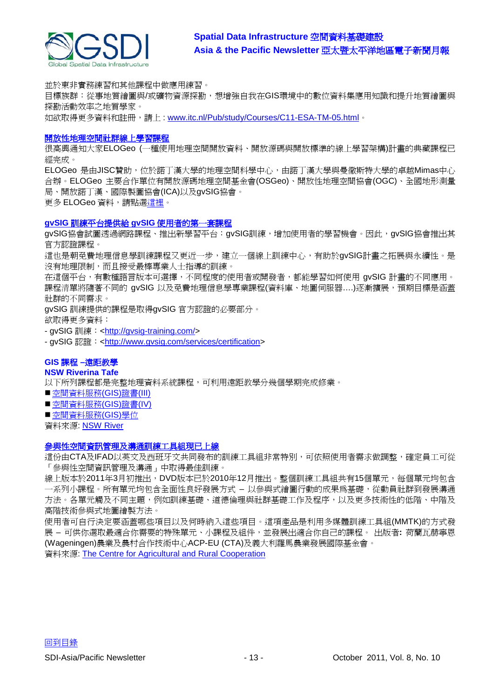

並於東非實務練習和其他課程中做應用練習。

目標族群:從事地質繪圖與/或礦物資源探勘,想增強自我在GIS環境中的數位資料集應用知識和提升地質繪圖與 探勘活動效率之地質學家。

如欲取得更多資料和註冊,請上: [www.itc.nl/Pub/study/Courses/C11-ESA-TM-05.html](http://www.itc.nl/Pub/study/Courses/C11-ESA-TM-05.html)。

#### [開放性地理空間社群線上學習課程](http://elogeo.nottingham.ac.uk/xmlui)

很高興通知大家ELOGeo (一種使用地理空間開放資料、開放源碼與開放標準的線上學習架構)計畫的典藏課程已 經完成。

ELOGeo 是由JISC贊助, 位於諾丁漢大學的地理空間科學中心, 由諾丁漢大學與曼徹斯特大學的卓越Mimas中心 合辦。ELOGeo 主要合作單位有開放源碼地理空間基金會(OSGeo)、開放性地理空間協會(OGC)、全國地形測量 局、開放諾丁漢、國際製圖協會(ICA)以及gvSIG協會。

更多 ELOGeo 資料,請點[選這裡。](http://elogeo.nottingham.ac.uk/index.html)

#### **gvSIG** 訓練平台提供給 **gvSIG** 使用者的第一套課程

gvSIG協會試圖透過網路課程、推出新學習平台:gvSIG訓練,增加使用者的學習機會。因此,gvSIG協會推出其 官方認證課程。

這也是朝免費地理信息學訓練課程又更近一步,建立一個線上訓練中心,有助於gvSIG計畫之拓展與永續性。是 沒有地理限制,而且接受最棒專業人士指導的訓練。

在這個平台,有數種語言版本可選擇,不同程度的使用者或開發者,都能學習如何使用 gvSIG 計畫的不同應用。 課程清單將隨著不同的 gvSIG 以及免費地理信息學專業課程(資料庫、地圖伺服器....)逐漸擴展,預期目標是涵蓋 社群的不同需求。

gvSIG 訓練提供的課程是取得gvSIG 官方認證的必要部分。

欲取得更多資料:

- gvSIG 訓練: [<http://gvsig-training.com/>](http://gvsig-training.com/)

- gvSIG 認證: [<http://www.gvsig.com/services/certification>](http://www.gvsig.com/services/certification)

# **GIS** 課程 **–**遠距教學

#### **NSW Riverina Tafe**

以下所列課程都是完整地理資料系統課程,可利用遠距教學分幾個學期完成修業。

- ■[空間資料服務](http://www.rit.tafensw.edu.au/nec/nrme/giscourses#Cert III in Spatial Information Services (CPP30109))(GIS)證書(III)
- ■[空間資料服務](http://www.rit.tafensw.edu.au/nec/nrme/giscourses#Cert IV in Spatial Information Services (CPP40209))(GIS)證書(IV)
- ■[空間資料服務](http://www.rit.tafensw.edu.au/nec/nrme/giscourses#Diploma of Spatial Information Services (CPP50207))(GIS)學位

資料來源: [NSW River](http://www.rit.tafensw.edu.au/nec/nrme/giscourses)

#### [參與性空間資訊管理及溝通訓練工具組現已上線](http://www.cta.int/en/About-us/CTA-news/Participatory-Spatial-Information-Management-and-Communication-Training-Kit-now-available-on-line)

這份由CTA及IFAD以英文及西班牙文共同發布的訓練工具組非常特別,可依照使用者需求做調整,確定員工可從 「參與性空間資訊管理及溝通」中取得最佳訓練。

線上版本於2011年3月初推出,DVD版本已於2010年12月推出。整個訓練工具組共有15個單元,每個單元均包含 一系列小課程。所有單元均包含全面性良好發展方式 – 以參與式繪圖行動的成果爲基礎,從動員社群到發展溝通 方法。各單元觸及不同主題,例如訓練基礎、道德倫理與社群基礎工作及程序,以及更多技術性的低階、中階及 高階技術參與式地圖繪製方法。

使用者可自行決定要涵蓋哪些項目以及何時納入這些項目。這項產品是利用多媒體訓練工具組(MMTK)的方式發 展 – 可供你選取最適合你需要的特殊單元、小課程及組件,並發展出適合你自己的課程。 出版者**:** 荷蘭瓦赫寧恩 (Wageningen)農業及農村合作技術中心ACP-EU (CTA)及義大利羅馬農業發展國際基金會。

資料來源: [The Centre for Agricultural and Rural Cooperation](http://www.cta.int/en/About-us/Who-we-are)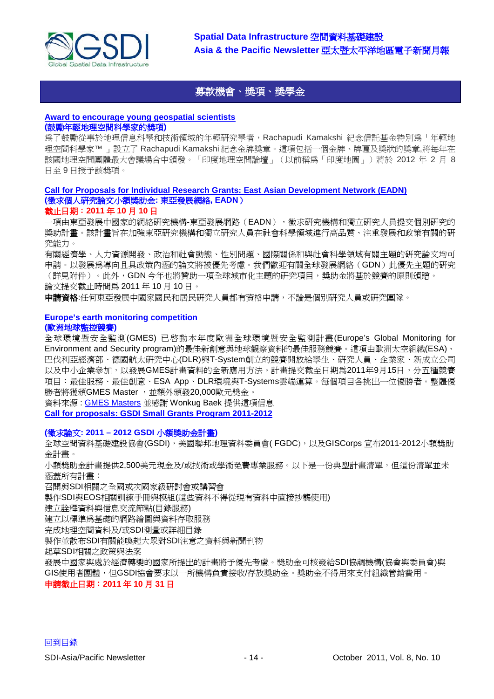

# <span id="page-13-0"></span>[募款機會、獎項、獎學金](#page-13-0)

#### **[Award to encourage young geospatial scientists](http://geospatialworld.net/index.php?option=com_content&view=article&id=23094%3Aaward-to-encourage-young-geospatial-scientists-&catid=81%3Amiscellaneous-award&Itemid=1) (**鼓勵年輕地理空間科學家的獎項**)**

為了鼓勵從事於地理信息科學和技術領域的年輕研究學者,Rachapudi Kamakshi 紀念信託基金特別為「年輕地 理空間科學家™ 」設立了 Rachapudi Kamakshi 紀念金牌獎章。這項包括一個金牌、牌匾及獎狀的獎章,將每年在 該國地理空間團體最大會議場合中頒發。「印度地理空間論壇」(以前稱為「印度地圖」)將於 2012 年 2 月 8 日至 9 日授予該獎項。

#### **[Call for Proposals for Individual Research Grants: East Asian Development Network \(EADN\)](http://www.eadn.org/CallforProposals2011.pdf) (**徵求個人研究論文小額獎助金**:** 東亞發展網絡**, EADN**) 截止日期:**2011** 年 **10** 月 **10** 日

一項由東亞發展中國家的網絡研究機構-東亞發展網路(EADN),徵求研究機構和獨立研究人員提交個別研究的 獎助計畫。該計畫旨在加強東亞研究機構和獨立研究人員在社會科學領域進行高品質、注重發展和政策有關的研 究能力。

有關經濟學、人力資源開發、政治和社會動態、性別問題、國際關係和與社會科學領域有關主題的研究論文均可 申請。以發展為導向且具政策內涵的論文將被優先考慮。我們歡迎有關全球發展網絡(GDN)此優先主題的研究 (詳見附件)。此外,GDN 今年也將贊助一項全球城市化主題的研究項目,獎助金將基於競賽的原則頒贈。 論文提交截止時間為 2011 年 10 月 10 日。

申請資格:任何東亞發展中國家國民和居民研究人員都有資格申請,不論是個別研究人員或研究團隊。

# **Europe's earth monitoring competition**

#### **(**歐洲地球監控競賽**)**

全球環境暨安全監測(GMES) 已啟動本年度歐洲全球環境暨安全監測計畫(Europe's Global Monitoring for Environment and Security program)的最佳新創意與地球觀察資料的最佳服務競賽。這項由歐洲太空組織(ESA)、 巴伐利亞經濟部、德國航太研究中心(DLR)與T-System創立的競賽開放給學生、研究人員、企業家、新成立公司 以及中小企業參加,以發展GMES計畫資料的全新應用方法。計畫提交截至日期為2011年9月15日,分五種競賽 項目:最佳服務、最佳創意、ESA App、DLR環境與T-Systems雲端運算。每個項目各挑出一位優勝者。整體優 勝者將獲頒GMES Master, 並額外頒發20,000歐元獎金。

資料來源 : [GMES Masters](http://www.gmes-masters.com/competition) 並感謝 Wonkug Baek 提供這項信息

**[Call for proposals: GSDI Small Grants Program 2011-2012](http://www.gsdi.org/node/315)**

## **(**徵求論文**: 2011 – 2012 GSDI** 小額獎助金計畫**)**

全球空間資料基礎建設協會(GSDI),美國聯邦地理資料委員會( FGDC),以及GISCorps 宣布2011-2012小額獎助 金計畫。

小額獎助金計畫提供2,500美元現金及/或技術或學術免費專業服務。以下是一份典型計畫清單,但這份清單並未 涵蓋所有計畫:

召開與SDI相關之全國或次國家級研討會或講習會

製作SDI與EOS相關訓練手冊與模組(這些資料不得從現有資料中直接抄襲使用)

建立詮釋資料與信息交流節點(目錄服務)

建立以標準為基礎的網路繪圖與資料存取服務

完成地理空間資料及/或SDI測量或詳細目錄

製作並散布SDI有關能喚起大眾對SDI注意之資料與新聞刊物

起草SDI相關之政策與法案

發展中國家與處於經濟轉變的國家所提出的計畫將予優先考慮。獎助金可核發給SDI協調機構(協會與委員會)與 GIS使用者團體,但GSDI協會要求以一所機構負責接收/存放獎助金。獎助金不得用來支付組織管銷費用。

#### 申請截止日期:**2011** 年 **10** 月 **31** 日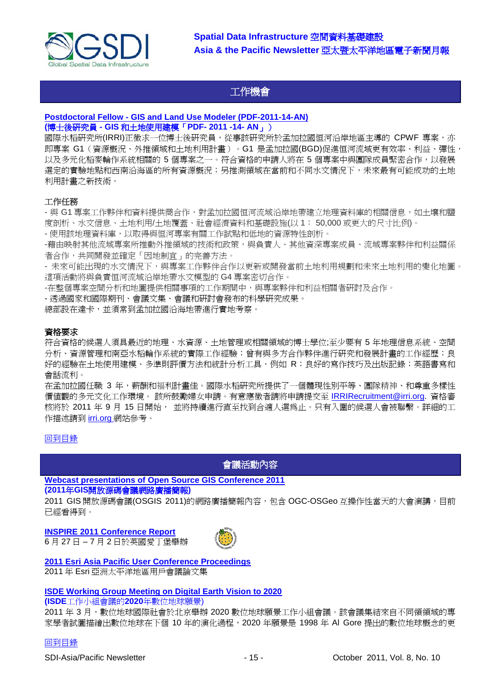

# <span id="page-14-0"></span>工作機會

#### **Postdoctoral Fellow - [GIS and Land Use Modeler \(PDF-2011-14-AN\)](http://irri.org/index.php?option=com_jobboard&view=job&id=254&catid=1&lyt=table) (**博士後研究員 **- GIS** 和土地使用建模「**PDF- 2011 -14- AN**」)

國際水稻研究所(IRRI)正徵求一位博士後研究員,從事該研究所於孟加拉國恒河沿岸地區主導的 CPWF 專案,亦 即專案 G1(資源概況、外推領域和土地利用計畫)。G1 是孟加拉國(BGD)促進恒河流域更有效率、利益、彈性, 以及多元化稻麥輪作系統相關的 5 個專案之一。符合資格的申請人將在 5 個專案中與團隊成員緊密合作,以發展 選定的實驗地點和西南沿海區的所有資源概況;另推測領域在當前和不同水文情況下,未來最有可能成功的土地 利用計畫之新技術。

## 工作任務

- 與 G1 專案工作夥伴和資料提供商合作,對孟加拉國恒河流域沿岸地帶建立地理資料庫的相關信息,如土壤和鹽 度剖析、水文信息、土地利用/土地覆蓋、社會經濟資料和基礎設施(以 1: 50,000 或更大的尺寸比例)。

- 使用該地理資料庫,以取得與恒河專案有關工作試點和低地的資源特性剖析。

-藉由映射其他流域專案所推動外推領域的技術和政策,與負責人、其他資深專案成員、流域專案夥伴和利益關係 者合作,共同開發並確定「因地制宜」的完善方法。

- 未來可能出現的水文情況下,與專案工作夥伴合作以更新或開發當前土地利用規劃和未來土地利用的變化地圖。 這項活動將與負責恒河流域沿岸地帶水文模型的 G4 專案密切合作。

-在整個專案空間分析和地圖提供相關事項的工作期間中,與專案夥伴和利益相關者研討及合作。

- 透過國家和國際期刊、會議文集、會議和研討會發布的科學研究成果。

總部設在達卡,並須常到孟加拉國沿海地帶進行實地考察。

#### 資格要求

符合資格的候選人須具最近的地理、水資源、土地管理或相關領域的博士學位;至少要有 5 年地理信息系統、空間 分析、資源管理和南亞水稻輪作系統的實際工作經驗;曾有與多方合作夥伴進行研究和發展計畫的工作經歷;良 好的經驗在土地使用建模、多準則評價方法和統計分析工具,例如 R;良好的寫作技巧及出版記錄;英語書寫和 會話流利。

在孟加拉國任職 3 年,薪酬和福利計畫佳。國際水稻研究所提供了一個體現性別平等、團隊精神、和尊重多樣性 價值觀的多元文化工作環境。 該所鼓勵婦女申請。有意應徵者請將申請提交至 [IRRIRecruitment@irri.org.](mailto:IRRIRecruitment@irri.org) 資格審 核將於 2011 年 9 月 15 日開始, 並將持續進行直至找到合適人選為止。只有入圍的候選人會被聯繫。詳細的工 作描述請到 [irri.org](http://irri.org/index.php?option=com_jobboard&view=job&id=254&catid=&lyt=table) 網站參考。

#### <span id="page-14-1"></span>[回到目錄](#page-0-0)

會議活動內容

**[Webcast presentations of Open Source GIS Conference 2011](http://cgs.nottingham.ac.uk/~osgis11/os_call_info.html) (2011**年**GIS**開放源碼會議網路廣播簡報**)** 

2011 GIS 開放源碼會議(OSGIS 2011)的網路廣播簡報內容,包含 OGC-OSGeo 互操作性當天的大會演講,目前 已經看得到。

**[INSPIRE 2011 Conference Report](http://www.sdimag.com/20110708150/events/event-coverage/inspire-2011-conference-report.html)**

6 月 27 日 – 7 月 2 日於英國愛丁堡舉辦



**[2011 Esri Asia Pacific User Conference Proceedings](http://www.geodata.com.ph/index.php?option=com_content&view=article&id=226:2011-apuc-proceedings&catid=45:new-a-events)** 2011 年 Esri 亞洲太平洋地區用戶會議論文集

#### **[ISDE Working Group Meeting on Digital Earth Vision to 2020](http://www.digitalearth-isde.org/news/Digital%20Earth%20Vision%20to%202020.html)**

**(ISDE**工作小組會議的**2020**年數位地球願景)

2011 年 3 月,數位地球國際社會於北京舉辦 2020 數位地球願景工作小組會議。該會議集結來自不同領領域的專 家學者試圖描繪出數位地球在下個 10 年的演化過程,2020 年願景是 1998 年 Al Gore 提出的數位地球概念的更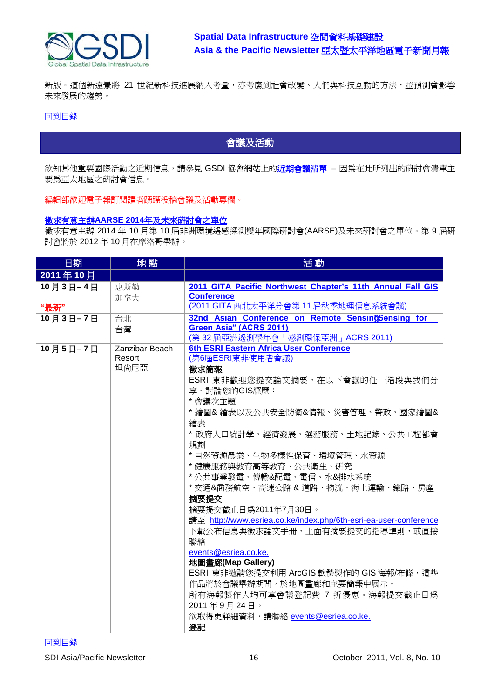

新版。這個新遠景將 21 世紀新科技進展納入考量,亦考慮到社會改變、人們與科技互動的方法,並預測會影響 未來發展的趨勢。

## [回到目錄](#page-0-0)

# <span id="page-15-0"></span>會議及活動

欲知其他重要國際活動之近期信息,請參見 GSDI 協會網站上[的近期會議清單](http://www.gsdi.org/events/upcnf) – 因為在此所列出的研討會清單主 要為亞太地區之研討會信息。

編輯部歡迎電子報訂閱讀者踴躍投稿會議及活動專欄。

#### 徵求有意主辦**AARSE 2014**[年及未來研討會之單位](http://lists.gsdi.org/pipermail/sdi-africa/2010-November/001135.html)

徵求有意主辦 2014 年 10 月第 10 屆非洲環境遙感探測雙年國際研討會(AARSE)及未來研討會之單位。第 9 屆研 討會將於 2012 年 10 月在摩洛哥舉辦。

| 日期               | 地點                               | 活動                                                                                                                                                                                                                                                                                                                                                                                                                                                                                                                                                                                                                                                                                                      |
|------------------|----------------------------------|---------------------------------------------------------------------------------------------------------------------------------------------------------------------------------------------------------------------------------------------------------------------------------------------------------------------------------------------------------------------------------------------------------------------------------------------------------------------------------------------------------------------------------------------------------------------------------------------------------------------------------------------------------------------------------------------------------|
| 2011年10月         |                                  |                                                                                                                                                                                                                                                                                                                                                                                                                                                                                                                                                                                                                                                                                                         |
| 10月3日-4日<br>"最新" | 惠斯勒<br>加拿大                       | 2011 GITA Pacific Northwest Chapter's 11th Annual Fall GIS<br><b>Conference</b><br>(2011 GITA 西北太平洋分會第 11 屆秋季地理信息系統會議)                                                                                                                                                                                                                                                                                                                                                                                                                                                                                                                                                                                  |
| 10月3日-7日         | 台北<br>台灣                         | 32nd Asian Conference on Remote Sensing Sensing for<br>Green Asia" (ACRS 2011)<br>(第32屆亞洲遙測學年會「感測環保亞洲」ACRS 2011)                                                                                                                                                                                                                                                                                                                                                                                                                                                                                                                                                                                        |
| 10月5日-7日         | Zanzibar Beach<br>Resort<br>坦尙尼亞 | 6th ESRI Eastern Africa User Conference<br>(第6屆ESRI東非使用者會議)<br>徵求簡報<br>ESRI 東非歡迎您提交論文摘要,在以下會議的任一階段與我們分<br>享、討論您的GIS經歷:<br>* 會議次主題<br>* 繪圖& 繪表以及公共安全防衛&情報、災害管理、警政、國家繪圖&<br>繪表<br>* 政府人口統計學、經濟發展、選務服務、土地記錄、公共工程都會<br>規劃<br>* 自然資源農業、生物多樣性保育、環境管理、水資源<br>*健康服務與教育高等教育、公共衛生、研究<br>*公共事業發電、傳輸&配電、電信、水&排水系統<br>* 交通&商務航空、高速公路 & 道路、物流、海上運輸、鐵路、房產<br>摘要提交<br>摘要提交截止日為2011年7月30日。<br>請至 http://www.esriea.co.ke/index.php/6th-esri-ea-user-conference<br>下載公布信息與徵求論文手冊,上面有摘要提交的指導準則,或直接<br>聯絡<br>events@esriea.co.ke.<br>地圖畫廊(Map Gallery)<br>ESRI 東非邀請您提交利用 ArcGIS 軟體製作的 GIS 海報/布條,這些<br>作品將於會議舉辦期間,於地圖畫廊和主要簡報中展示。<br>所有海報製作人均可享會議登記費 7 折優惠。海報提交截止日為<br>2011年9月24日。<br>欲取得更詳細資料,請聯絡 events@esriea.co.ke.<br>登記 |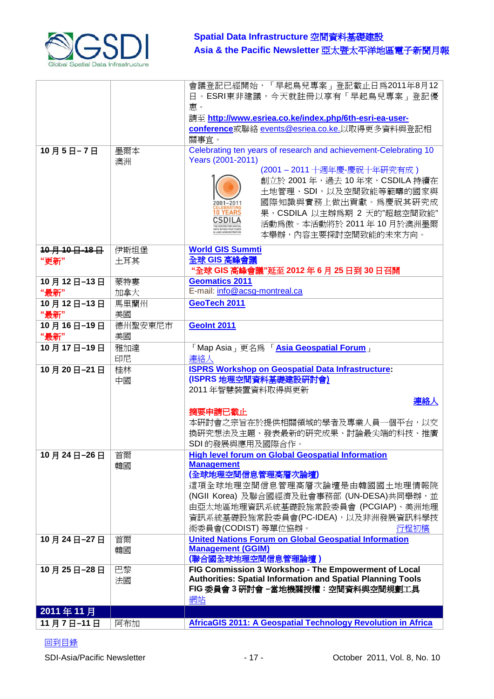

|            |          | 會議登記已經開始,「早起鳥兒專案」登記截止日為2011年8月12                                   |
|------------|----------|--------------------------------------------------------------------|
|            |          | 日。ESRI東非建議,今天就註冊以享有「早起鳥兒專案」登記優                                     |
|            |          | 惠。                                                                 |
|            |          | 請至 http://www.esriea.co.ke/index.php/6th-esri-ea-user-             |
|            |          | conference或聯絡 events@esriea.co.ke.以取得更多資料與登記相                      |
|            |          | 關事宜。                                                               |
| 10月5日-7日   | 墨爾本      | Celebrating ten years of research and achievement-Celebrating 10   |
|            | 澳洲       | Years (2001-2011)                                                  |
|            |          | (2001-2011十週年慶-慶祝十年研究有成)                                           |
|            |          | 創立於 2001年, 過去 10年來, CSDILA持續在                                      |
|            |          | 土地管理、SDI,以及空間致能等範疇的國家與                                             |
|            |          | 國際知識與實務上做出貢獻。爲慶祝其硏究成<br>2001-2011                                  |
|            |          | 10 YEARS<br>果, CSDILA 以主辦為期 2 天的"超越空間致能"                           |
|            |          | <b>CSDILA</b><br>活動為傲。本活動將於 2011年 10月於澳洲墨爾<br>TA INFRASTRUCTURES   |
|            |          | 本舉辦,內容主要探討空間致能的未來方向。                                               |
| 10月10日-18日 | 伊斯坦堡     | <b>World GIS Summti</b>                                            |
| "更新"       | 土耳其      | 全球 GIS 高峰會議                                                        |
|            |          | "全球 GIS 高峰會議"延至 2012 年 6 月 25 日到 30 日召開                            |
| 10月12日-13日 | 蒙特婁      | <b>Geomatics 2011</b>                                              |
| "最新"       | 加拿大      | E-mail: info@acsg-montreal.ca                                      |
| 10月12日-13日 | 馬里蘭州     | GeoTech 2011                                                       |
| "最新"       | 美國       |                                                                    |
| 10月16日-19日 | 德州聖安東尼市  | <b>GeoInt 2011</b>                                                 |
| "最新"       | 美國       |                                                                    |
| 10月17日-19日 | 雅加達      | 「Map Asia <sub>」</sub> 更名爲 「 <mark>Asia Geospatial Forum</mark> 」  |
|            | 印尼       | 連絡人                                                                |
| 10月20日-21日 | 桂林       | <b>ISPRS Workshop on Geospatial Data Infrastructure:</b>           |
|            | 中國       | (ISPRS 地理空間資料基礎建設研討會)                                              |
|            |          | 2011年智慧裝置資料取得與更新                                                   |
|            |          | 連絡人                                                                |
|            |          | 摘要申請已截止                                                            |
|            |          | 本研討會之宗旨在於提供相關領域的學者及專業人員一個平台,以交                                     |
|            |          | 換研究想法及主題、發表最新的研究成果、討論最尖端的科技、推廣                                     |
|            |          | SDI的發展與應用及國際合作。                                                    |
| 10月24日-26日 |          | <b>High level forum on Global Geospatial Information</b>           |
|            | 首爾<br>韓國 | <b>Management</b>                                                  |
|            |          | (全球地理空間信息管理高層次論壇)                                                  |
|            |          | 這項全球地理空間信息管理高層次論壇是由韓國國土地理情報院                                       |
|            |          | (NGII Korea) 及聯合國經濟及社會事務部 (UN-DESA)共同舉辦,並                          |
|            |          | 由亞太地區地理資訊系統基礎設施常設委員會 (PCGIAP)、美洲地理                                 |
|            |          | 資訊系統基礎設施常設委員會(PC-IDEA),以及非洲發展資訊科學技                                 |
|            |          | 術委員會(CODIST) 等單位協辦。<br>行程初稿                                        |
| 10月24日-27日 | 首爾       | <b>United Nations Forum on Global Geospatial Information</b>       |
|            | 韓國       | <b>Management (GGIM)</b>                                           |
|            |          | (聯合國全球地理空間信息管理論壇)                                                  |
| 10月25日-28日 | 巴黎       | FIG Commission 3 Workshop - The Empowerment of Local               |
|            | 法國       | <b>Authorities: Spatial Information and Spatial Planning Tools</b> |
|            |          | FIG 委員會 3 研討會 -當地機關授權: 空間資料與空間規劃工具                                 |
|            |          | 網站                                                                 |
| 2011年11月   |          |                                                                    |
|            |          |                                                                    |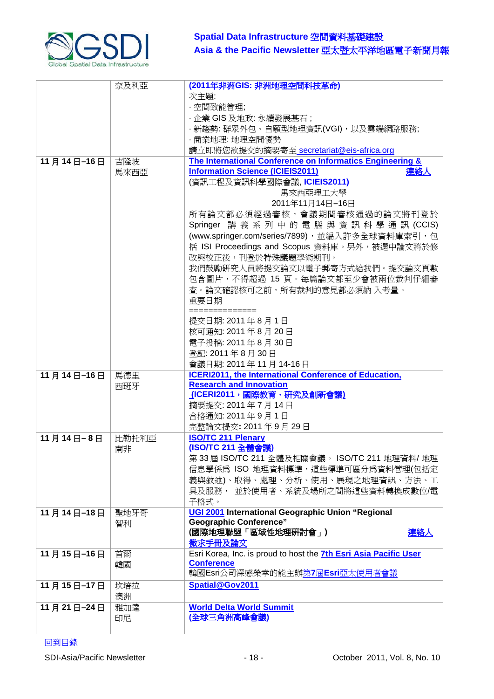

|            | 奈及利亞        | (2011年非洲GIS: 非洲地理空間科技革命)<br>次主題:<br>· 空間致能管理;<br>・企業 GIS 及地政: 永續發展基石 ;<br>· 新趨勢: 群眾外包、自願型地理資訊(VGI), 以及雲端網路服務;                                                                                                                                                                                                                                                                                                                                                                                                                                                                                        |
|------------|-------------|------------------------------------------------------------------------------------------------------------------------------------------------------------------------------------------------------------------------------------------------------------------------------------------------------------------------------------------------------------------------------------------------------------------------------------------------------------------------------------------------------------------------------------------------------------------------------------------------------|
|            |             | ・商業地理: 地理空間優勢<br>請立即將您欲提交的摘要寄至 secretariat@eis-africa.org                                                                                                                                                                                                                                                                                                                                                                                                                                                                                                                                            |
| 11月14日-16日 | 吉隆坡<br>馬來西亞 | The International Conference on Informatics Engineering &<br><b>Information Science (ICIEIS2011)</b><br>連絡人<br>(資訊工程及資訊科學國際會議, ICIEIS2011)<br>馬來西亞理工大學<br>2011年11月14日-16日<br>所有論文都必須經過審核,會議期間審核通過的論文將刊登於<br>Springer 講義系列中的電腦與資訊科學通訊(CCIS)<br>(www.springer.com/series/7899),並編入許多全球資料庫索引,包<br>括 ISI Proceedings and Scopus 資料庫。另外,被選中論文將於修<br>改與校正後,刊登於特殊議題學術期刊。<br>我們鼓勵研究人員將提交論文以電子郵寄方式給我們。提交論文頁數<br>包含圖片,不得超過 15 頁。每篇論文都至少會被兩位裁判仔細審<br>查。論文確認核可之前,所有裁判的意見都必須納 入考量。<br>重要日期<br>==============<br>提交日期: 2011年8月1日<br>核可通知: 2011年8月20日<br>電子投稿: 2011年8月30日<br>登記: 2011年8月30日<br>會議日期: 2011年11月14-16日 |
| 11月14日-16日 | 馬德里<br>西班牙  | <b>ICERI2011, the International Conference of Education,</b><br><b>Research and Innovation</b><br>(ICERI2011,國際教育、研究及創新會議)<br>摘要提交: 2011年7月14日<br>合格通知: 2011年9月1日<br>完整論文提交: 2011年9月29日                                                                                                                                                                                                                                                                                                                                                                                                              |
| 11月14日-8日  | 比勒托利亞<br>南非 | <b>ISO/TC 211 Plenary</b><br>(ISO/TC 211 全體會議)<br>第33屆 ISO/TC 211 全體及相關會議。 ISO/TC 211 地理資料/ 地理<br>信息學係為 ISO 地理資料標準,這些標準可區分為資料管理(包括定<br>義與敘述)、取得、處理、分析、使用、展現之地理資訊、方法、工<br>具及服務, 並於使用者、系統及場所之間將這些資料轉換成數位/電<br>子格式。                                                                                                                                                                                                                                                                                                                                                                                     |
| 11月14日-18日 | 聖地牙哥<br>智利  | UGI 2001 International Geographic Union "Regional<br><b>Geographic Conference"</b><br>(國際地理聯盟「區域性地理研討會」)<br>連絡人<br>徵求手冊及論文                                                                                                                                                                                                                                                                                                                                                                                                                                                                           |
| 11月15日-16日 | 首爾<br>韓國    | Esri Korea, Inc. is proud to host the 7th Esri Asia Pacific User<br><b>Conference</b><br>韓國Esri公司深感榮幸的能主辦第7屆Esri亞太使用者會議                                                                                                                                                                                                                                                                                                                                                                                                                                                                              |
| 11月15日-17日 | 坎培拉<br>澳洲   | Spatial@Gov2011                                                                                                                                                                                                                                                                                                                                                                                                                                                                                                                                                                                      |
| 11月21日-24日 | 雅加達<br>印尼   | <b>World Delta World Summit</b><br>(全球三角洲高峰會議)                                                                                                                                                                                                                                                                                                                                                                                                                                                                                                                                                       |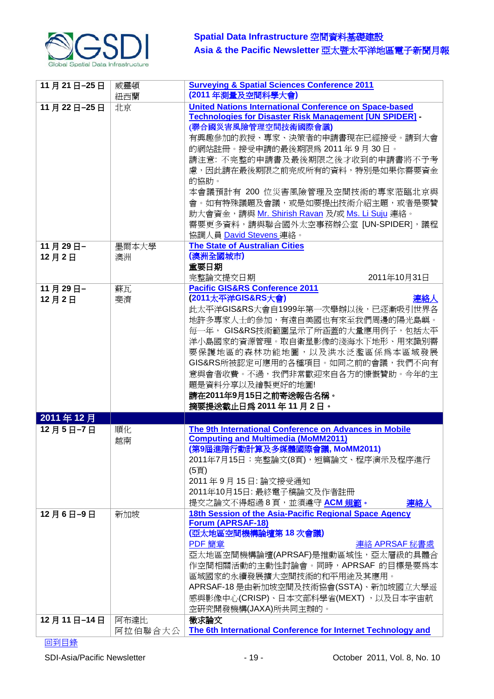

| 11月21日-25日       | 威靈頓             | <b>Surveying &amp; Spatial Sciences Conference 2011</b>                                                                                                                                                                                                                                                                                                                                             |
|------------------|-----------------|-----------------------------------------------------------------------------------------------------------------------------------------------------------------------------------------------------------------------------------------------------------------------------------------------------------------------------------------------------------------------------------------------------|
|                  | 紐西蘭             | (2011年測量及空間科學大會)                                                                                                                                                                                                                                                                                                                                                                                    |
| 11月22日-25日       | 北京              | <b>United Nations International Conference on Space-based</b><br><b>Technologies for Disaster Risk Management [UN SPIDER] -</b><br>(聯合國災害風險管理空間技術國際會議)<br>有興趣參加的教授、專家、決策者的申請書現在已經接受。請到大會<br>的網站註冊。接受申請的最後期限為 2011年9月30日。<br>請注意: 不完整的申請書及最後期限之後才收到的申請書將不予考                                                                                                                                          |
|                  |                 | 慮,因此請在最後期限之前完成所有的資料,特別是如果你需要資金<br>的協助。<br>本會議預計有 200 位災害風險管理及空間技術的專家蒞臨北京與<br>會。如有特殊議題及會議,或是如要提出技術介紹主題,或者是要贊<br>助大會資金,請與 Mr. Shirish Ravan 及/或 Ms. Li Suju 連絡。<br>需要更多資料,請與聯合國外太空事務辦公室 [UN-SPIDER],議程<br>協調人員 David Stevens 連絡。                                                                                                                                                                      |
| 11月29日-<br>12月2日 | 墨爾本大學<br>澳洲     | <b>The State of Australian Cities</b><br>(澳洲全國城市)<br>重要日期<br>2011年10月31日<br>完整論文提交日期                                                                                                                                                                                                                                                                                                                |
| 11月29日-<br>12月2日 | 蘇瓦<br>斐濟        | <b>Pacific GIS&amp;RS Conference 2011</b><br>(2011太平洋GIS&RS大會)<br>連絡人<br>此太平洋GIS&RS大會自1999年第一次舉辦以後,已逐漸吸引世界各<br>地許多專家人士的參加,有遠自美國也有來至我們周邊的陽光島嶼。<br>毎一年, GIS&RS技術範圍呈示了所涵蓋的大量應用例子,包括太平<br>洋小島國家的資源管理。取自衛星影像的淺海水下地形、用來識別需<br>要保護地區的森林功能地圖,以及洪水泛濫區係為本區域發展<br>GIS&RS所被認定可應用的各種項目。如同之前的會議,我們不向有<br>意與會者收費。不過,我們非常歡迎來自各方的慷慨贊助。今年的主<br>題是資料分享以及繪製更好的地圖!<br>請在2011年9月15日之前寄送報告名稱。<br>摘要提送截止日爲 2011 年 11 月 2 日。 |
| 2011年12月         |                 |                                                                                                                                                                                                                                                                                                                                                                                                     |
| 12月5日-7日         | 順化<br>越南        | The 9th International Conference on Advances in Mobile<br><b>Computing and Multimedia (MoMM2011)</b><br>(第9屆進階行動計算及多媒體國際會議, MoMM2011)<br>2011年7月15日:完整論文(8頁),短篇論文、程序演示及程序進行<br>(5頁)<br>2011年9月15日: 論文接受通知<br>2011年10月15日: 最終電子稿論文及作者註冊<br>提交之論文不得超過8頁,並須遵守 ACM規範。<br>連絡人                                                                                                                            |
| 12月6日-9日         | 新加坡             | 18th Session of the Asia-Pacific Regional Space Agency<br><b>Forum (APRSAF-18)</b><br>(亞太地區空間機構論壇第 18 次會議)<br>PDF 簡章<br>連絡 APRSAF 秘書處<br>亞太地區空間機構論壇(APRSAF)是推動區域性,亞太層級的具體合<br>作空間相關活動的主動性討論會。同時,APRSAF 的目標是要為本<br>區域國家的永續發展擴大空間技術的和平用途及其應用。<br>APRSAF-18 是由新加坡空間及技術協會(SSTA)、新加坡國立大學遥<br>感與影像中心(CRISP)、日本文部科學省(MEXT),以及日本宇宙航<br>空研究開發機構(JAXA)所共同主辦的。                                                 |
| 12月11日-14日       | 阿布達比<br>阿拉伯聯合大公 | 徵求論文<br>The 6th International Conference for Internet Technology and                                                                                                                                                                                                                                                                                                                                |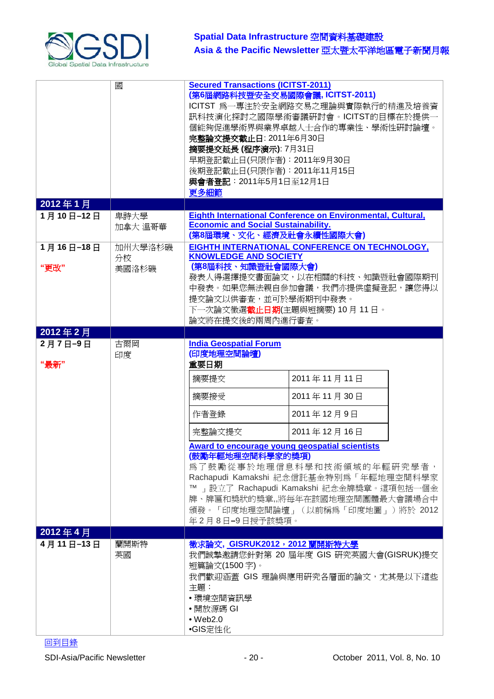

|                   | 國                      | <b>Secured Transactions (ICITST-2011)</b><br>(第6屆網路科技暨安全交易國際會議, ICITST-2011)<br>ICITST 為一專注於安全網路交易之理論與實際執行的精進及培養資<br>訊科技演化探討之國際學術審議研討會。ICITST的目標在於提供一<br>個能夠促進學術界與業界卓越人士合作的專業性、學術性研討論壇。<br>完整論文提交截止日: 2011年6月30日<br>摘要提交延長 (程序演示): 7月31日<br>早期登記截止日(只限作者): 2011年9月30日<br>後期登記截止日(只限作者): 2011年11月15日<br>與會者登記: 2011年5月1日至12月1日<br>更多細節                                                                          |
|-------------------|------------------------|----------------------------------------------------------------------------------------------------------------------------------------------------------------------------------------------------------------------------------------------------------------------------------------------------------------------------------------------------------------------------------------------------------------|
| 2012年1月           |                        |                                                                                                                                                                                                                                                                                                                                                                                                                |
| 1月10日-12日         | 卑詩大學<br>加拿大 溫哥華        | Eighth International Conference on Environmental, Cultural,<br><b>Economic and Social Sustainability.</b><br>(第8屆環境、文化、經濟及社會永續性國際大會)                                                                                                                                                                                                                                                                           |
| 1月16日-18日<br>"更改" | 加州大學洛杉磯<br>分校<br>美國洛杉磯 | EIGHTH INTERNATIONAL CONFERENCE ON TECHNOLOGY,<br><b>KNOWLEDGE AND SOCIETY</b><br>(第8屆科技、知識暨社會國際大會)<br>發表人得選擇提交書面論文,以在相關的科技、知識暨社會國際期刊<br>中發表。如果您無法親自參加會議,我們亦提供虛擬登記,讓您得以<br>提交論文以供審査,並可於學術期刊中發表。<br>下一次論文徵選 <b>截止日期</b> (主題與短摘要) 10月 11日。<br>論文將在提交後的兩周內進行審查。                                                                                                                                                   |
| 2012年2月           |                        |                                                                                                                                                                                                                                                                                                                                                                                                                |
| 2月7日-9日<br>"最新"   | 古爾岡<br>印度              | <b>India Geospatial Forum</b><br>(印度地理空間論壇)<br>重要日期<br>2011年11月11日<br>摘要提交<br>2011年11月30日<br>摘要接受<br>2011年12月9日<br>作者登錄<br>2011年12月16日<br>完整論文提交<br>Award to encourage young geospatial scientists<br>(鼓勵年輕地理空間科學家的獎項)<br>為了鼓勵從事於地理信息科學和技術領域的年輕研究學者,<br>Rachapudi Kamakshi 紀念信託基金特別為「年輕地理空間科學家<br> 設立了 Rachapudi Kamakshi 紀念金牌獎章。這項包括一個金<br>牌、牌匾和獎狀的獎章,將每年在該國地理空間團體最大會議場合中<br>頒發。「印度地理空間論壇」(以前稱爲「印度地圖」)將於 2012 |
|                   |                        | 年2月8日-9日授予該獎項。                                                                                                                                                                                                                                                                                                                                                                                                 |
| 2012年4月           |                        |                                                                                                                                                                                                                                                                                                                                                                                                                |
| 4月11日-13日         | 蘭開斯特<br>英國             | 徵求論文, GISRUK2012, 2012 蘭開斯特大學<br>我們誠摯邀請您針對第 20 屆年度 GIS 研究英國大會(GISRUK)提交<br>短篇論文(1500字)。<br>我們歡迎涵蓋 GIS 理論與應用研究各層面的論文,尤其是以下這些<br>主題:<br>• 環境空間資訊學<br>•開放源碼 GI<br>$•$ Web2.0<br>●GIS定性化                                                                                                                                                                                                                           |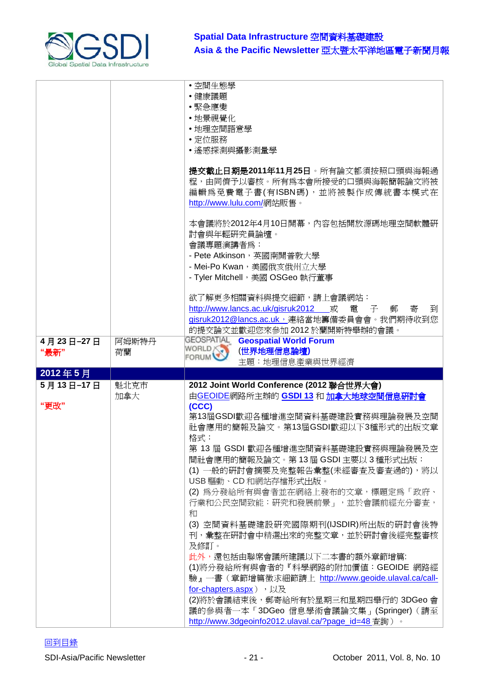

|           |       | • 空間生態學<br>•健康議題                                                                                                                                          |
|-----------|-------|-----------------------------------------------------------------------------------------------------------------------------------------------------------|
|           |       | •緊急應變                                                                                                                                                     |
|           |       | • 地景視覺化<br>• 地理空間語意學                                                                                                                                      |
|           |       | • 定位服務                                                                                                                                                    |
|           |       | • 遙感探測與攝影測量學                                                                                                                                              |
|           |       | 提交截止日期是2011年11月25日。所有論文都須按照口頭與海報過<br>程,由同儕予以審核。所有爲本會所接受的口頭與海報簡報論文將被<br>編輯為免費電子書(有ISBN碼),並將被製作成傳統書本模式在<br>http://www.lulu.com/網站販售。                        |
|           |       | 本會議將於2012年4月10日開幕,內容包括開放源碼地理空間軟體硏<br>討會與年輕硏究員論壇。<br>會議專題演講者為:<br>- Pete Atkinson, 英國南開普敦大學<br>- Mei-Po Kwan, 美國俄亥俄州立大學<br>- Tyler Mitchell, 美國 OSGeo 執行董事 |
|           |       | 欲了解更多相關資料與提交細節,請上會議網站:                                                                                                                                    |
|           |       | http://www.lancs.ac.uk/gisruk2012 或<br>電 子<br>郵<br>寄<br>到                                                                                                 |
|           |       | gisruk2012@lancs.ac.uk, 連絡當地籌備委員會會。我們期待收到您                                                                                                                |
|           |       | 的提交論文並歡迎您來參加 2012於蘭開斯特舉辦的會議。<br><b>GEOSPATIAL</b>                                                                                                         |
| 4月23日-27日 | 阿姆斯特丹 | <b>Geospatial World Forum</b><br>WORLD<br>(世界地理信息論壇)                                                                                                      |
|           |       |                                                                                                                                                           |
| "最新"      | 荷蘭    | <b>FORUM</b><br>主題: 地理信息產業與世界經濟                                                                                                                           |
| 2012年5月   |       |                                                                                                                                                           |
| 5月13日-17日 | 魁北克市  | 2012 Joint World Conference (2012 聯合世界大會)                                                                                                                 |
|           | 加拿大   | 由GEOIDE網路所主辦的 GSDI 13 和 加拿大地球空間信息研討會                                                                                                                      |
| "更改"      |       | (CCC)                                                                                                                                                     |
|           |       | 第13屆GSDI歡迎各種增進空間資料基礎建設實務與理論發展及空間<br>社會應用的簡報及論文。第13屆GSDI歡迎以下3種形式的出版文章                                                                                      |
|           |       | 格式:                                                                                                                                                       |
|           |       | 第 13 屆 GSDI 歡迎各種增進空間資料基礎建設實務與理論發展及空<br>間社會應用的簡報及論文。第13屆 GSDI 主要以 3種形式出版:                                                                                  |
|           |       | (1) 一般的研討會摘要及完整報告彙整(未經審查及審查過的), 將以                                                                                                                        |
|           |       | USB 驅動、CD 和網站存檔形式出版。                                                                                                                                      |
|           |       | (2) 為分發給所有與會者並在網絡上發布的文章,標題定為「政府、<br>行業和公民空間致能:研究和發展前景」,並於會議前經充分審查,                                                                                        |
|           |       | 和                                                                                                                                                         |
|           |       | (3) 空間資料基礎建設研究國際期刊(IJSDIR)所出版的研討會後特<br>刊,彙整在研討會中精選出來的完整文章,並於研討會後經完整審核                                                                                     |
|           |       | 及修訂。<br>此外,還包括由聯席會議所建議以下二本書的額外章節增篇:                                                                                                                       |
|           |       | (1)將分發給所有與會者的『科學網路的附加價值: GEOIDE 網路經                                                                                                                       |
|           |       | 驗』一書(章節增篇徵求細節請上 http://www.geoide.ulaval.ca/call-                                                                                                         |
|           |       | for-chapters.aspx),以及                                                                                                                                     |
|           |       | (2)將於會議結束後,郵寄給所有於星期三和星期四舉行的 3DGeo 會<br>議的參與者一本「3DGeo信息學術會議論文集」(Springer) (請至<br>http://www.3dgeoinfo2012.ulaval.ca/?page_id=48 查詢)。                       |